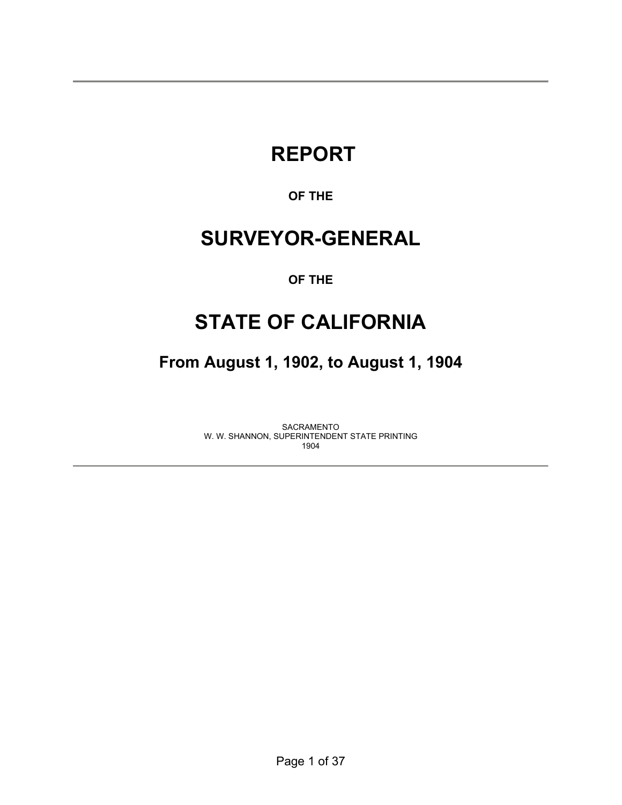# **REPORT**

### **OF THE**

# **SURVEYOR-GENERAL**

#### **OF THE**

# **STATE OF CALIFORNIA**

**From August 1, 1902, to August 1, 1904** 

SACRAMENTO W. W. SHANNON, SUPERINTENDENT STATE PRINTING 1904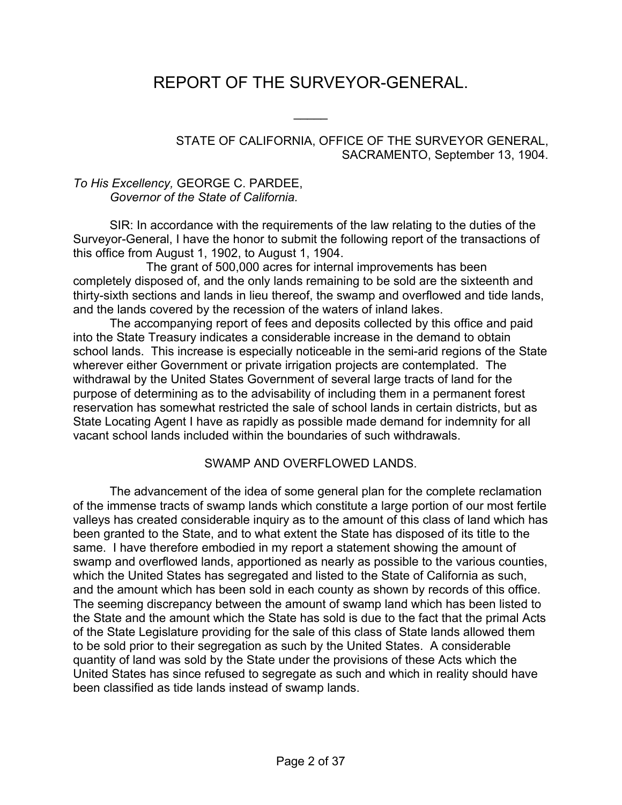# REPORT OF THE SURVEYOR-GENERAL.

 $\frac{1}{2}$ 

#### STATE OF CALIFORNIA, OFFICE OF THE SURVEYOR GENERAL, SACRAMENTO, September 13, 1904.

#### *To His Excellency,* GEORGE C. PARDEE, *Governor of the State of California.*

SIR: In accordance with the requirements of the law relating to the duties of the Surveyor-General, I have the honor to submit the following report of the transactions of this office from August 1, 1902, to August 1, 1904.

 The grant of 500,000 acres for internal improvements has been completely disposed of, and the only lands remaining to be sold are the sixteenth and thirty-sixth sections and lands in lieu thereof, the swamp and overflowed and tide lands, and the lands covered by the recession of the waters of inland lakes.

 The accompanying report of fees and deposits collected by this office and paid into the State Treasury indicates a considerable increase in the demand to obtain school lands. This increase is especially noticeable in the semi-arid regions of the State wherever either Government or private irrigation projects are contemplated. The withdrawal by the United States Government of several large tracts of land for the purpose of determining as to the advisability of including them in a permanent forest reservation has somewhat restricted the sale of school lands in certain districts, but as State Locating Agent I have as rapidly as possible made demand for indemnity for all vacant school lands included within the boundaries of such withdrawals.

#### SWAMP AND OVERFLOWED LANDS.

 The advancement of the idea of some general plan for the complete reclamation of the immense tracts of swamp lands which constitute a large portion of our most fertile valleys has created considerable inquiry as to the amount of this class of land which has been granted to the State, and to what extent the State has disposed of its title to the same. I have therefore embodied in my report a statement showing the amount of swamp and overflowed lands, apportioned as nearly as possible to the various counties, which the United States has segregated and listed to the State of California as such, and the amount which has been sold in each county as shown by records of this office. The seeming discrepancy between the amount of swamp land which has been listed to the State and the amount which the State has sold is due to the fact that the primal Acts of the State Legislature providing for the sale of this class of State lands allowed them to be sold prior to their segregation as such by the United States. A considerable quantity of land was sold by the State under the provisions of these Acts which the United States has since refused to segregate as such and which in reality should have been classified as tide lands instead of swamp lands.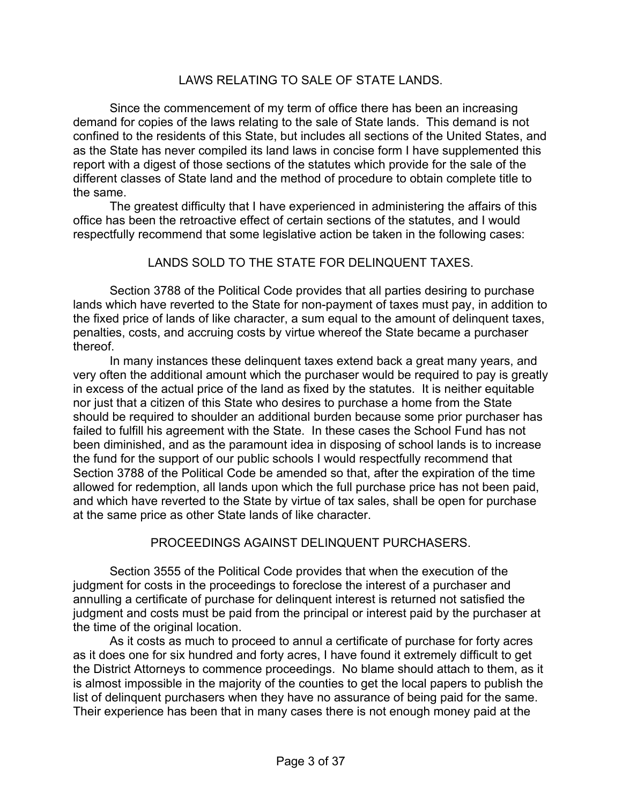#### LAWS RELATING TO SALE OF STATE LANDS.

 Since the commencement of my term of office there has been an increasing demand for copies of the laws relating to the sale of State lands. This demand is not confined to the residents of this State, but includes all sections of the United States, and as the State has never compiled its land laws in concise form I have supplemented this report with a digest of those sections of the statutes which provide for the sale of the different classes of State land and the method of procedure to obtain complete title to the same.

 The greatest difficulty that I have experienced in administering the affairs of this office has been the retroactive effect of certain sections of the statutes, and I would respectfully recommend that some legislative action be taken in the following cases:

#### LANDS SOLD TO THE STATE FOR DELINQUENT TAXES.

 Section 3788 of the Political Code provides that all parties desiring to purchase lands which have reverted to the State for non-payment of taxes must pay, in addition to the fixed price of lands of like character, a sum equal to the amount of delinquent taxes, penalties, costs, and accruing costs by virtue whereof the State became a purchaser thereof.

 In many instances these delinquent taxes extend back a great many years, and very often the additional amount which the purchaser would be required to pay is greatly in excess of the actual price of the land as fixed by the statutes. It is neither equitable nor just that a citizen of this State who desires to purchase a home from the State should be required to shoulder an additional burden because some prior purchaser has failed to fulfill his agreement with the State. In these cases the School Fund has not been diminished, and as the paramount idea in disposing of school lands is to increase the fund for the support of our public schools I would respectfully recommend that Section 3788 of the Political Code be amended so that, after the expiration of the time allowed for redemption, all lands upon which the full purchase price has not been paid, and which have reverted to the State by virtue of tax sales, shall be open for purchase at the same price as other State lands of like character.

#### PROCEEDINGS AGAINST DELINQUENT PURCHASERS.

 Section 3555 of the Political Code provides that when the execution of the judgment for costs in the proceedings to foreclose the interest of a purchaser and annulling a certificate of purchase for delinquent interest is returned not satisfied the judgment and costs must be paid from the principal or interest paid by the purchaser at the time of the original location.

 As it costs as much to proceed to annul a certificate of purchase for forty acres as it does one for six hundred and forty acres, I have found it extremely difficult to get the District Attorneys to commence proceedings. No blame should attach to them, as it is almost impossible in the majority of the counties to get the local papers to publish the list of delinquent purchasers when they have no assurance of being paid for the same. Their experience has been that in many cases there is not enough money paid at the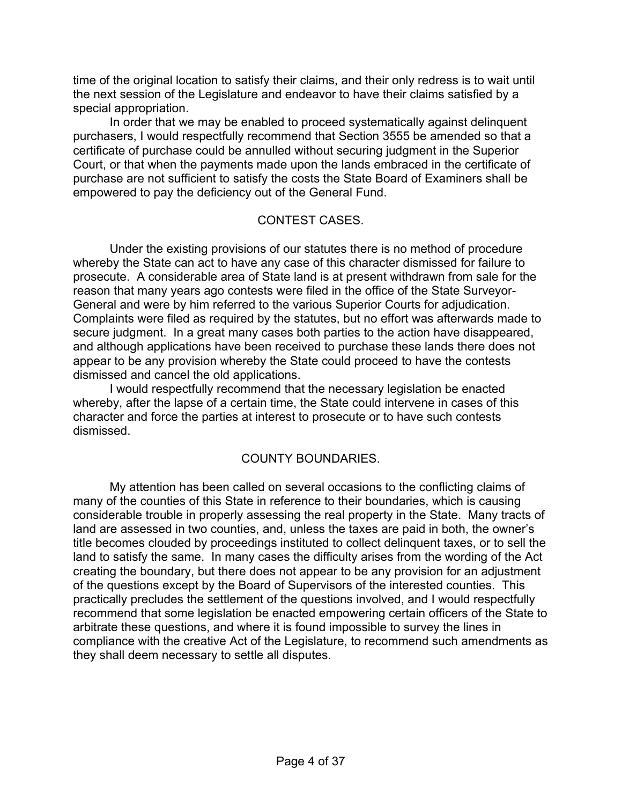time of the original location to satisfy their claims, and their only redress is to wait until the next session of the Legislature and endeavor to have their claims satisfied by a special appropriation.

 In order that we may be enabled to proceed systematically against delinquent purchasers, I would respectfully recommend that Section 3555 be amended so that a certificate of purchase could be annulled without securing judgment in the Superior Court, or that when the payments made upon the lands embraced in the certificate of purchase are not sufficient to satisfy the costs the State Board of Examiners shall be empowered to pay the deficiency out of the General Fund.

#### CONTEST CASES.

 Under the existing provisions of our statutes there is no method of procedure whereby the State can act to have any case of this character dismissed for failure to prosecute. A considerable area of State land is at present withdrawn from sale for the reason that many years ago contests were filed in the office of the State Surveyor-General and were by him referred to the various Superior Courts for adjudication. Complaints were filed as required by the statutes, but no effort was afterwards made to secure judgment. In a great many cases both parties to the action have disappeared, and although applications have been received to purchase these lands there does not appear to be any provision whereby the State could proceed to have the contests dismissed and cancel the old applications.

 I would respectfully recommend that the necessary legislation be enacted whereby, after the lapse of a certain time, the State could intervene in cases of this character and force the parties at interest to prosecute or to have such contests dismissed.

#### COUNTY BOUNDARIES.

 My attention has been called on several occasions to the conflicting claims of many of the counties of this State in reference to their boundaries, which is causing considerable trouble in properly assessing the real property in the State. Many tracts of land are assessed in two counties, and, unless the taxes are paid in both, the owner's title becomes clouded by proceedings instituted to collect delinquent taxes, or to sell the land to satisfy the same. In many cases the difficulty arises from the wording of the Act creating the boundary, but there does not appear to be any provision for an adjustment of the questions except by the Board of Supervisors of the interested counties. This practically precludes the settlement of the questions involved, and I would respectfully recommend that some legislation be enacted empowering certain officers of the State to arbitrate these questions, and where it is found impossible to survey the lines in compliance with the creative Act of the Legislature, to recommend such amendments as they shall deem necessary to settle all disputes.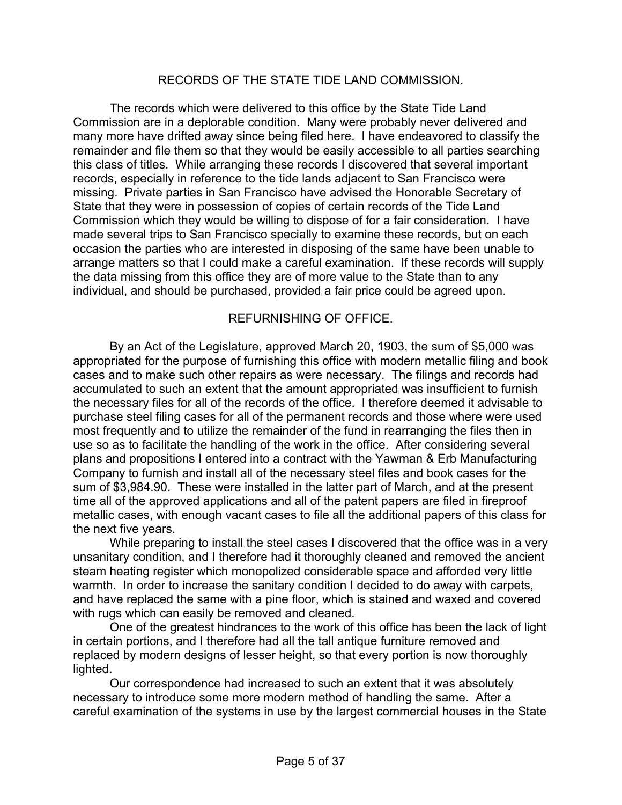#### RECORDS OF THE STATE TIDE LAND COMMISSION.

 The records which were delivered to this office by the State Tide Land Commission are in a deplorable condition. Many were probably never delivered and many more have drifted away since being filed here. I have endeavored to classify the remainder and file them so that they would be easily accessible to all parties searching this class of titles. While arranging these records I discovered that several important records, especially in reference to the tide lands adjacent to San Francisco were missing. Private parties in San Francisco have advised the Honorable Secretary of State that they were in possession of copies of certain records of the Tide Land Commission which they would be willing to dispose of for a fair consideration. I have made several trips to San Francisco specially to examine these records, but on each occasion the parties who are interested in disposing of the same have been unable to arrange matters so that I could make a careful examination. If these records will supply the data missing from this office they are of more value to the State than to any individual, and should be purchased, provided a fair price could be agreed upon.

#### REFURNISHING OF OFFICE.

 By an Act of the Legislature, approved March 20, 1903, the sum of \$5,000 was appropriated for the purpose of furnishing this office with modern metallic filing and book cases and to make such other repairs as were necessary. The filings and records had accumulated to such an extent that the amount appropriated was insufficient to furnish the necessary files for all of the records of the office. I therefore deemed it advisable to purchase steel filing cases for all of the permanent records and those where were used most frequently and to utilize the remainder of the fund in rearranging the files then in use so as to facilitate the handling of the work in the office. After considering several plans and propositions I entered into a contract with the Yawman & Erb Manufacturing Company to furnish and install all of the necessary steel files and book cases for the sum of \$3,984.90. These were installed in the latter part of March, and at the present time all of the approved applications and all of the patent papers are filed in fireproof metallic cases, with enough vacant cases to file all the additional papers of this class for the next five years.

 While preparing to install the steel cases I discovered that the office was in a very unsanitary condition, and I therefore had it thoroughly cleaned and removed the ancient steam heating register which monopolized considerable space and afforded very little warmth. In order to increase the sanitary condition I decided to do away with carpets, and have replaced the same with a pine floor, which is stained and waxed and covered with rugs which can easily be removed and cleaned.

 One of the greatest hindrances to the work of this office has been the lack of light in certain portions, and I therefore had all the tall antique furniture removed and replaced by modern designs of lesser height, so that every portion is now thoroughly lighted.

 Our correspondence had increased to such an extent that it was absolutely necessary to introduce some more modern method of handling the same. After a careful examination of the systems in use by the largest commercial houses in the State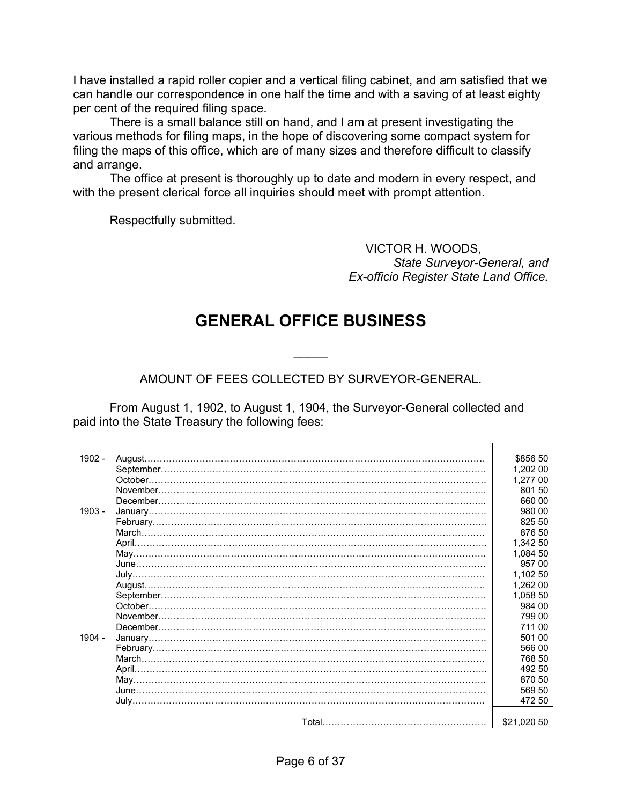I have installed a rapid roller copier and a vertical filing cabinet, and am satisfied that we can handle our correspondence in one half the time and with a saving of at least eighty per cent of the required filing space.

 There is a small balance still on hand, and I am at present investigating the various methods for filing maps, in the hope of discovering some compact system for filing the maps of this office, which are of many sizes and therefore difficult to classify and arrange.

 The office at present is thoroughly up to date and modern in every respect, and with the present clerical force all inquiries should meet with prompt attention.

Respectfully submitted.

VICTOR H. WOODS, *State Surveyor-General, and Ex-officio Register State Land Office.* 

## **GENERAL OFFICE BUSINESS**

 $\overline{\phantom{a}}$ 

AMOUNT OF FEES COLLECTED BY SURVEYOR-GENERAL.

 From August 1, 1902, to August 1, 1904, the Surveyor-General collected and paid into the State Treasury the following fees:

| 1902 -   | August.                                                                                              | \$856 50    |
|----------|------------------------------------------------------------------------------------------------------|-------------|
|          |                                                                                                      | 1,202 00    |
|          | October.                                                                                             | 1.277 00    |
|          | November.                                                                                            | 801 50      |
|          |                                                                                                      | 660 00      |
| $1903 -$ |                                                                                                      | 980 00      |
|          |                                                                                                      | 825 50      |
|          |                                                                                                      | 876 50      |
|          |                                                                                                      |             |
|          |                                                                                                      | 1.342 50    |
|          |                                                                                                      | 1,084 50    |
|          |                                                                                                      | 957 00      |
|          |                                                                                                      | 1,102 50    |
|          |                                                                                                      | 1,262 00    |
|          | ${\bf September.}\label{def:3} \begin{minipage}[c]{0.9\linewidth} \textbf{September.}\end{minipage}$ | 1.058 50    |
|          | October.                                                                                             | 984 00      |
|          |                                                                                                      | 799 00      |
|          |                                                                                                      | 711 00      |
| $1904 -$ |                                                                                                      | 501 00      |
|          |                                                                                                      | 566 00      |
|          |                                                                                                      | 768 50      |
|          |                                                                                                      | 492 50      |
|          |                                                                                                      | 870 50      |
|          |                                                                                                      | 569 50      |
|          |                                                                                                      | 472 50      |
|          |                                                                                                      |             |
|          |                                                                                                      | \$21,020 50 |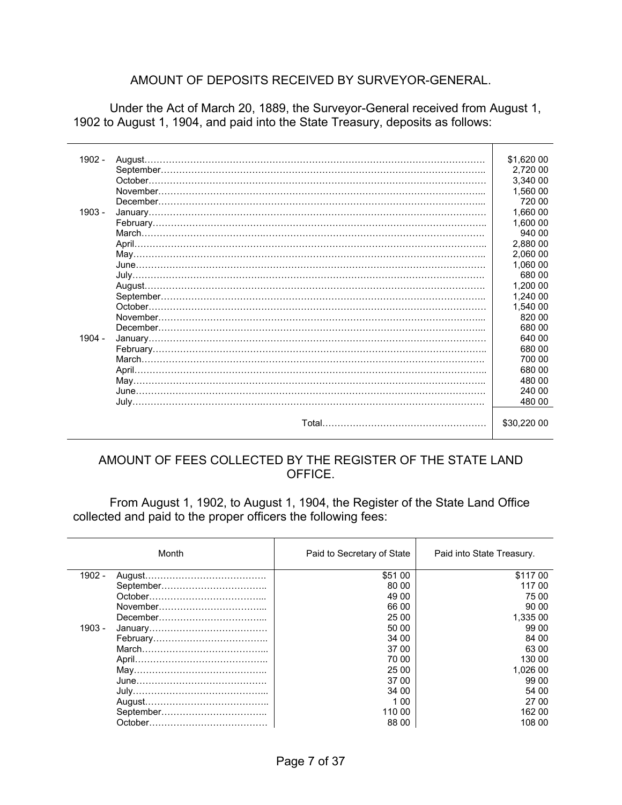#### AMOUNT OF DEPOSITS RECEIVED BY SURVEYOR-GENERAL.

 Under the Act of March 20, 1889, the Surveyor-General received from August 1, 1902 to August 1, 1904, and paid into the State Treasury, deposits as follows:

| 1902 - |          | \$1,620 00  |
|--------|----------|-------------|
|        |          | 2,720 00    |
|        |          | 3,340 00    |
|        |          | 1,560 00    |
|        |          | 720 00      |
| 1903 - |          | 1,660 00    |
|        |          | 1.600 00    |
|        |          | 940 00      |
|        |          | 2,880 00    |
|        |          | 2,060 00    |
|        |          | 1,060 00    |
|        |          | 680 00      |
|        |          | 1,200 00    |
|        |          | 1.240 00    |
|        | October. | 1,540 00    |
|        |          | 820 00      |
|        |          | 680 00      |
| 1904 - |          | 640 00      |
|        |          | 680 00      |
|        |          | 700 00      |
|        |          | 680 00      |
|        |          | 480 00      |
|        |          | 240 00      |
|        |          | 480 00      |
|        |          |             |
|        |          | \$30,220 00 |
|        |          |             |

#### AMOUNT OF FEES COLLECTED BY THE REGISTER OF THE STATE LAND OFFICE.

 From August 1, 1902, to August 1, 1904, the Register of the State Land Office collected and paid to the proper officers the following fees:

|        | Month | Paid to Secretary of State | Paid into State Treasury. |
|--------|-------|----------------------------|---------------------------|
| 1902 - |       | \$51 00                    | \$117 00                  |
|        |       | 80 00                      | 117 00                    |
|        |       | 49 00                      | 75.00                     |
|        |       | 66 00                      | 90 00                     |
|        |       | 25 00                      | 1.335 00                  |
| 1903 - |       | 50 00                      | 99 00                     |
|        |       | 34 00                      | 84 00                     |
|        |       | 37 00                      | 63 00                     |
|        |       | 70 00                      | 130 00                    |
|        |       | 25 00                      | 1.026 00                  |
|        |       | 37 00                      | 99 00                     |
|        |       | 34 00                      | 54 00                     |
|        |       | 1 00                       | 27.00                     |
|        |       | 110 00                     | 162 00                    |
|        |       | 88 00                      | 108 00                    |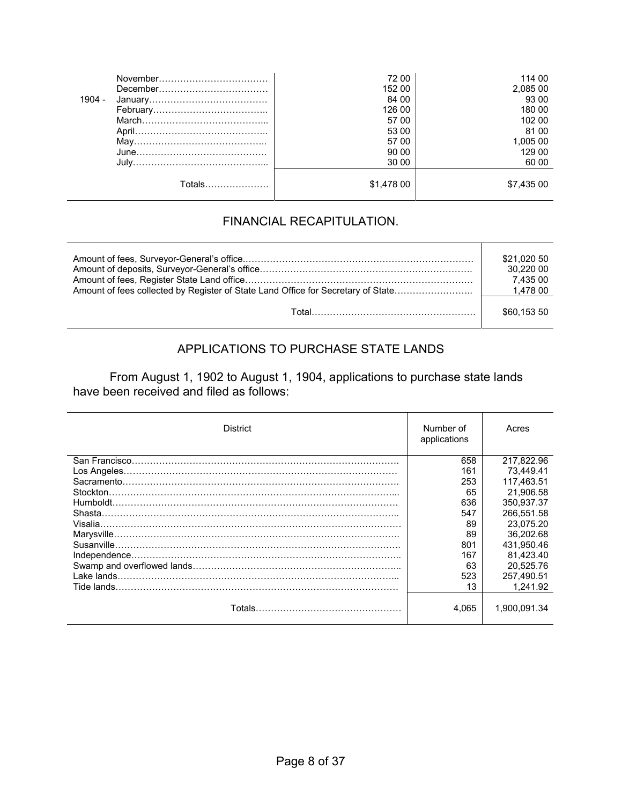|          |        | 72 00      | 114 00     |
|----------|--------|------------|------------|
|          |        | 152 00     | 2,085 00   |
| $1904 -$ |        | 84 00      | 93 00      |
|          |        | 126 00     | 180 00     |
|          |        | 57 00      | 102 00     |
|          |        | 53 00      | 81 00      |
|          |        | 57 00      | 1,005 00   |
|          |        | 90 00      | 129 00     |
|          |        | 30 00      | 60 00      |
|          | Totals | \$1,478 00 | \$7,435 00 |

#### FINANCIAL RECAPITULATION.

|                                                                                  | \$21,020 50<br>30.220 00<br>7.435 00 |
|----------------------------------------------------------------------------------|--------------------------------------|
| Amount of fees collected by Register of State Land Office for Secretary of State | 1,478 00                             |
|                                                                                  | \$60.153 50                          |

## APPLICATIONS TO PURCHASE STATE LANDS

From August 1, 1902 to August 1, 1904, applications to purchase state lands have been received and filed as follows:

| <b>District</b> | Number of<br>applications | Acres        |
|-----------------|---------------------------|--------------|
|                 | 658                       | 217.822.96   |
|                 | 161                       | 73.449.41    |
|                 | 253                       | 117.463.51   |
| Stockton.       | 65                        | 21.906.58    |
|                 | 636                       | 350.937.37   |
| Shasta.         | 547                       | 266.551.58   |
|                 | 89                        | 23.075.20    |
|                 | 89                        | 36.202.68    |
|                 | 801                       | 431.950.46   |
|                 | 167                       | 81.423.40    |
|                 | 63                        | 20.525.76    |
| Lake lands.     | 523                       | 257.490.51   |
| Tide lands.     | 13                        | 1.241.92     |
|                 | 4.065                     | 1.900.091.34 |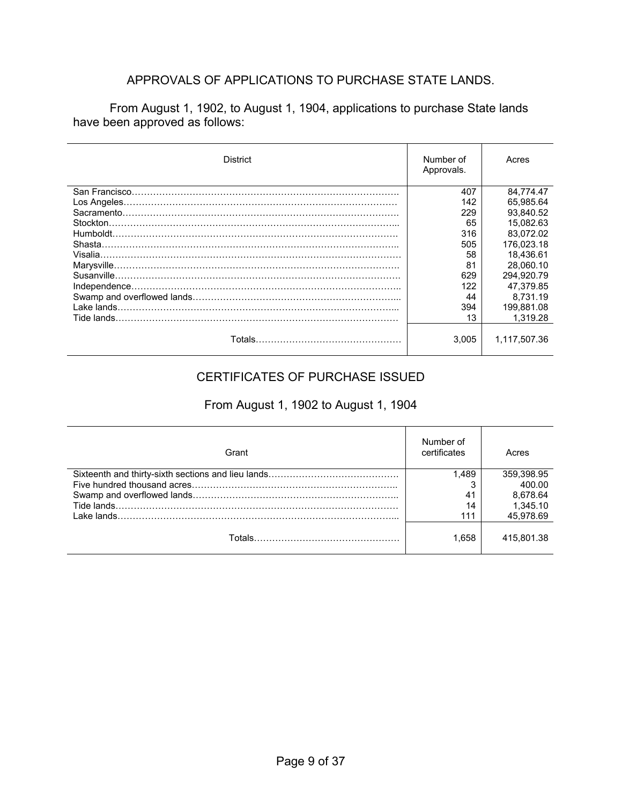#### APPROVALS OF APPLICATIONS TO PURCHASE STATE LANDS.

 From August 1, 1902, to August 1, 1904, applications to purchase State lands have been approved as follows:

| <b>District</b>         | Number of<br>Approvals. | Acres        |
|-------------------------|-------------------------|--------------|
|                         | 407                     | 84,774.47    |
|                         | 142                     | 65.985.64    |
|                         | 229                     | 93.840.52    |
| Stockton.               | 65                      | 15.082.63    |
|                         | 316                     | 83.072.02    |
| Shasta                  | 505                     | 176.023.18   |
|                         | 58                      | 18.436.61    |
|                         | 81                      | 28.060.10    |
| Susanville.             | 629                     | 294.920.79   |
|                         | 122                     | 47.379.85    |
|                         | 44                      | 8.731.19     |
| Lake lands.             | 394                     | 199.881.08   |
| Tide lands.             | 13                      | 1.319.28     |
| Totals…………………………………………… | 3.005                   | 1,117,507.36 |

#### CERTIFICATES OF PURCHASE ISSUED

#### From August 1, 1902 to August 1, 1904

| Grant | Number of<br>certificates | Acres      |
|-------|---------------------------|------------|
|       | 1.489                     | 359,398.95 |
|       |                           | 400.00     |
|       | 41                        | 8.678.64   |
|       | 14                        | 1.345.10   |
|       | 111                       | 45,978.69  |
|       | 1.658                     | 415.801.38 |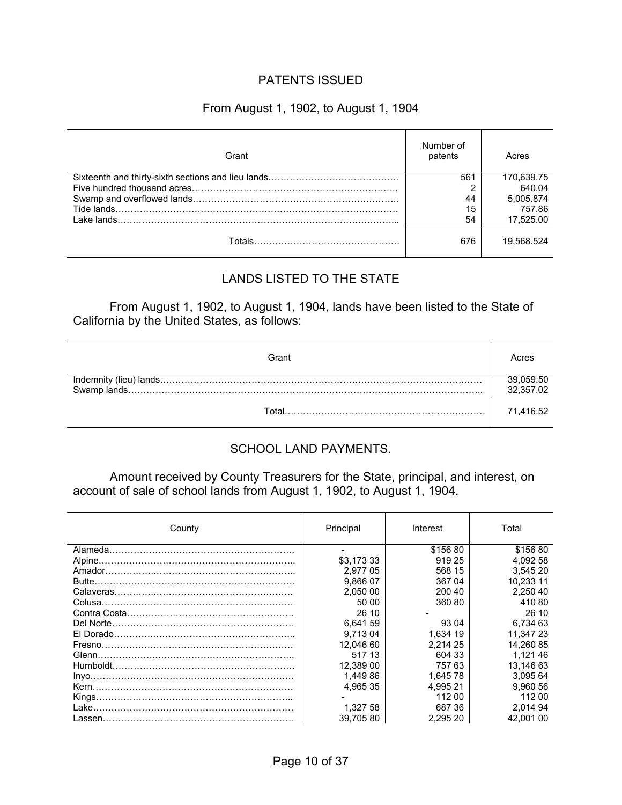#### PATENTS ISSUED

#### From August 1, 1902, to August 1, 1904

| Grant | Number of<br>patents | Acres      |
|-------|----------------------|------------|
|       | 561                  | 170,639.75 |
|       |                      | 640.04     |
|       | 44                   | 5,005.874  |
|       | 15                   | 757.86     |
|       | 54                   | 17.525.00  |
|       | 676                  | 19.568.524 |

#### LANDS LISTED TO THE STATE

 From August 1, 1902, to August 1, 1904, lands have been listed to the State of California by the United States, as follows:

| Grant |                        |
|-------|------------------------|
|       | 39,059.50<br>32,357.02 |
| ั∩tal | 71.416.52              |

#### SCHOOL LAND PAYMENTS.

Amount received by County Treasurers for the State, principal, and interest, on account of sale of school lands from August 1, 1902, to August 1, 1904.

| County | Principal  | Interest | Total     |
|--------|------------|----------|-----------|
|        |            | \$156 80 | \$156 80  |
|        | \$3.173 33 | 919 25   | 4.092 58  |
|        | 2.977 05   | 568 15   | 3,545 20  |
|        | 9.866 07   | 367 04   | 10.233 11 |
|        | 2.050 00   | 200 40   | 2.250 40  |
|        | 50 00      | 360 80   | 41080     |
|        | 26 10      |          | 26 10     |
|        | 6.641 59   | 93 04    | 6,734 63  |
|        | 9.713 04   | 1,634 19 | 11.347 23 |
|        | 12.046 60  | 2.214 25 | 14.260 85 |
|        | 517 13     | 604 33   | 1.121 46  |
|        | 12.389 00  | 757 63   | 13.146 63 |
|        | 1.449 86   | 1.645 78 | 3.095 64  |
|        | 4.965 35   | 4.995 21 | 9.960 56  |
|        |            | 112 00   | 112 00    |
|        | 1,327 58   | 687 36   | 2.014 94  |
|        | 39.70580   | 2.295 20 | 42.001 00 |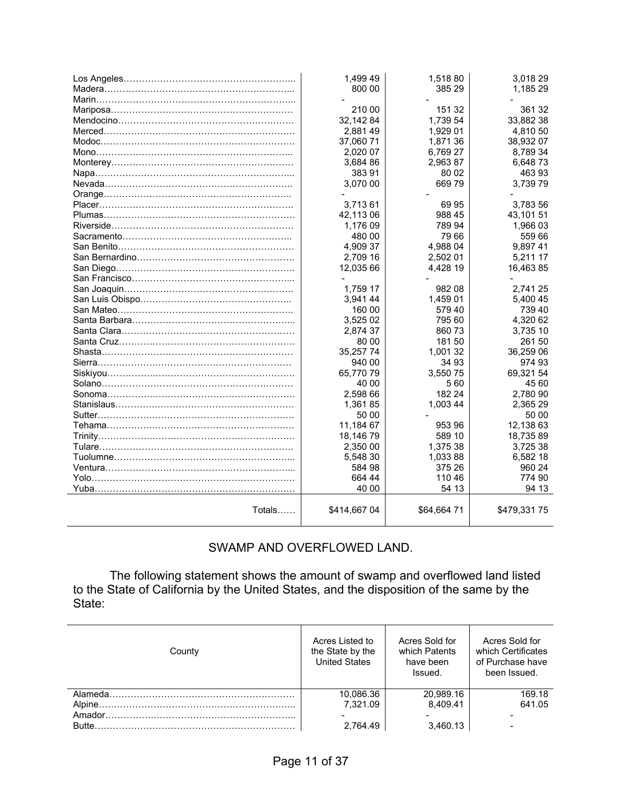|                             | 1,499 49     | 1,518 80   | 3,018 29    |
|-----------------------------|--------------|------------|-------------|
|                             | 800 00       | 385 29     | 1,185 29    |
|                             |              |            |             |
|                             | 210 00       | 151 32     | 361 32      |
|                             | 32,14284     | 1,739 54   | 33,882 38   |
|                             | 2,881 49     | 1,929 01   | 4,810 50    |
|                             | 37,060 71    | 1,871 36   | 38,932 07   |
|                             | 2,020 07     | 6,769 27   | 8,789 34    |
|                             | 3,684 86     | 2,963 87   | 6,64873     |
|                             | 383 91       | 80 02      | 463 93      |
|                             | 3,070 00     | 66979      | 3,739 79    |
|                             |              |            |             |
|                             | 3,71361      | 69 95      | 3,783 56    |
|                             | 42,113 06    | 988 45     | 43,101 51   |
|                             | 1,176 09     | 789 94     | 1,966 03    |
|                             | 480 00       | 79 66      | 559 66      |
|                             | 4,909 37     | 4,988 04   | 9,89741     |
|                             | 2,709 16     | 2,502 01   | 5,211 17    |
|                             | 12,035 66    | 4,428 19   | 16,46385    |
|                             |              |            |             |
|                             | 1,759 17     | 982 08     | 2,741 25    |
|                             | 3,941 44     | 1,459 01   | 5,400 45    |
|                             | 160 00       | 579 40     | 739 40      |
|                             | 3,525 02     | 795 60     | 4,320 62    |
|                             | 2,874 37     | 860 73     | 3,735 10    |
|                             | 80 00        | 18150      | 261 50      |
|                             | 35,257 74    | 1,001 32   | 36,259 06   |
|                             | 940 00       | 34 93      | 974 93      |
|                             | 65,770 79    | 3,55075    | 69,321 54   |
|                             | 40 00        | 560        | 45 60       |
|                             | 2,598 66     | 182 24     | 2,780 90    |
|                             | 1,36185      | 1,003 44   | 2,365 29    |
|                             | 50 00        |            | 50 00       |
|                             | 11,184 67    | 953 96     | 12,138 63   |
|                             | 18,146 79    | 589 10     | 18,73589    |
|                             | 2,350 00     | 1,375 38   | 3,725 38    |
|                             | 5,548 30     | 1,033 88   | 6,582 18    |
|                             | 584 98       | 375 26     | 960 24      |
|                             | 664 44       | 110 46     | 774 90      |
| Yuba…………………………………………………………… | 40 00        | 54 13      | 94 13       |
| Totals                      | \$414,667 04 | \$64,66471 | \$479,33175 |
|                             |              |            |             |

#### SWAMP AND OVERFLOWED LAND.

 The following statement shows the amount of swamp and overflowed land listed to the State of California by the United States, and the disposition of the same by the State:

| County | Acres Listed to<br>the State by the<br><b>United States</b> | Acres Sold for<br>which Patents<br>have been<br>Issued. | Acres Sold for<br>which Certificates<br>of Purchase have<br>been Issued. |
|--------|-------------------------------------------------------------|---------------------------------------------------------|--------------------------------------------------------------------------|
|        | 10,086.36                                                   | 20.989.16                                               | 169.18                                                                   |
|        | 7.321.09                                                    | 8.409.41                                                | 641.05                                                                   |
|        |                                                             |                                                         |                                                                          |
|        | 2.764.49                                                    | 3.460.13                                                |                                                                          |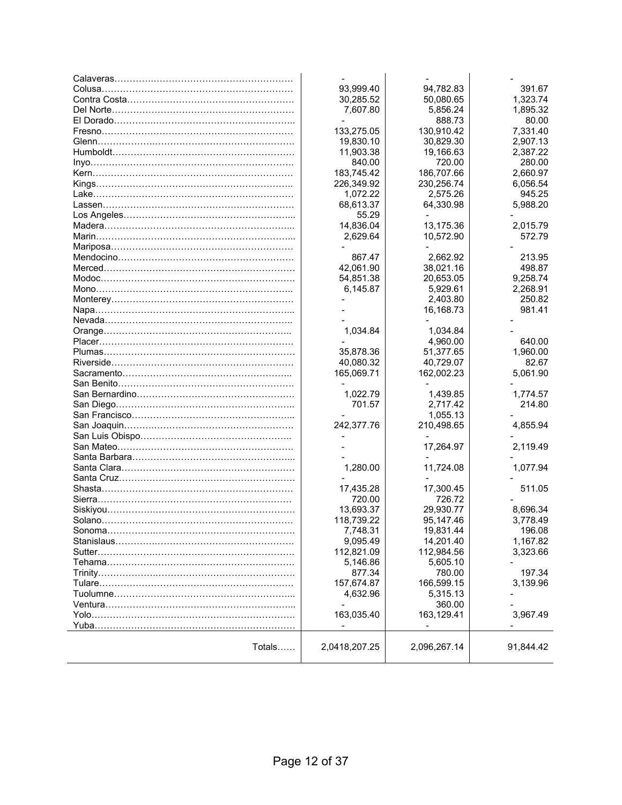|                                | 93,999.40     | 94,782.83    | 391.67    |
|--------------------------------|---------------|--------------|-----------|
|                                | 30,285.52     | 50,080.65    | 1,323.74  |
|                                | 7,607.80      | 5,856.24     | 1,895.32  |
|                                |               | 888.73       | 80.00     |
|                                | 133,275.05    | 130,910.42   | 7,331.40  |
|                                | 19,830.10     | 30,829.30    | 2,907.13  |
|                                | 11,903.38     | 19,166.63    | 2,387.22  |
|                                | 840.00        | 720.00       | 280.00    |
|                                | 183,745.42    | 186,707.66   | 2,660.97  |
|                                | 226,349.92    | 230,256.74   | 6,056.54  |
|                                | 1,072.22      | 2,575.26     | 945.25    |
|                                | 68,613.37     | 64,330.98    | 5,988.20  |
|                                |               |              |           |
|                                | 55.29         |              |           |
|                                | 14,836.04     | 13,175.36    | 2,015.79  |
|                                | 2,629.64      | 10,572.90    | 572.79    |
|                                |               |              |           |
|                                | 867.47        | 2,662.92     | 213.95    |
|                                | 42,061.90     | 38,021.16    | 498.87    |
|                                | 54,851.38     | 20,653.05    | 9,258.74  |
|                                | 6,145.87      | 5,929.61     | 2,268.91  |
|                                |               | 2,403.80     | 250.82    |
|                                |               | 16,168.73    | 981.41    |
|                                |               |              |           |
|                                | 1,034.84      | 1,034.84     |           |
|                                |               | 4,960.00     | 640.00    |
|                                | 35,878.36     | 51,377.65    | 1,960.00  |
|                                | 40,080.32     | 40,729.07    | 82.67     |
|                                | 165,069.71    | 162,002.23   | 5,061.90  |
|                                |               |              |           |
|                                | 1,022.79      | 1,439.85     | 1,774.57  |
|                                | 701.57        | 2,717.42     | 214.80    |
|                                |               | 1,055.13     |           |
|                                | 242,377.76    | 210,498.65   | 4,855.94  |
|                                |               |              |           |
|                                |               | 17,264.97    | 2,119.49  |
|                                |               |              |           |
|                                | 1,280.00      | 11,724.08    | 1,077.94  |
|                                |               |              |           |
|                                | 17,435.28     | 17,300.45    | 511.05    |
|                                | 720.00        | 726.72       |           |
|                                | 13,693.37     | 29,930.77    | 8,696.34  |
|                                |               |              |           |
|                                | 118,739.22    | 95,147.46    | 3,778.49  |
|                                | 1,748.31      | 19,831.44    | 196.08    |
| Stanislaus…………………………………………………… | 9,095.49      | 14,201.40    | 1,167.82  |
|                                | 112,821.09    | 112,984.56   | 3,323.66  |
|                                | 5,146.86      | 5,605.10     |           |
|                                | 877.34        | 780.00       | 197.34    |
|                                | 157,674.87    | 166,599.15   | 3,139.96  |
|                                | 4,632.96      | 5,315.13     |           |
|                                |               | 360.00       |           |
|                                | 163,035.40    | 163,129.41   | 3,967.49  |
|                                |               |              |           |
| Totals                         | 2,0418,207.25 | 2,096,267.14 | 91,844.42 |
|                                |               |              |           |
|                                |               |              |           |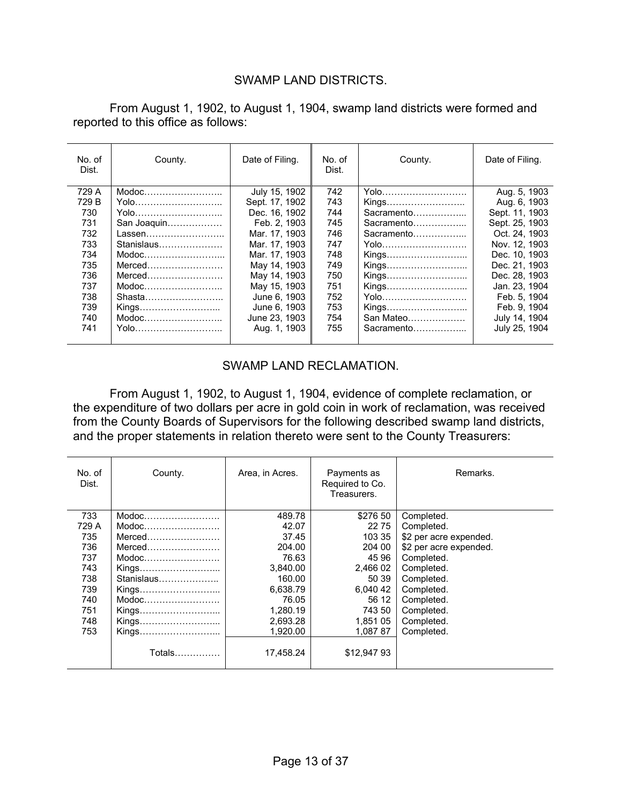#### SWAMP LAND DISTRICTS.

 From August 1, 1902, to August 1, 1904, swamp land districts were formed and reported to this office as follows:

| No. of<br>Dist. | County.                                                   | Date of Filing. | No. of<br>Dist. | County.    | Date of Filing. |
|-----------------|-----------------------------------------------------------|-----------------|-----------------|------------|-----------------|
| 729 A           | Modoc                                                     | July 15, 1902   | 742             | Yolo       | Aug. 5, 1903    |
| 729 B           | Yolo                                                      | Sept. 17, 1902  | 743             | Kings      | Aug. 6, 1903    |
| 730             | Yolo                                                      | Dec. 16, 1902   | 744             | Sacramento | Sept. 11, 1903  |
| 731             | San Joaquin                                               | Feb. 2. 1903    | 745             | Sacramento | Sept. 25, 1903  |
| 732             | Lassen                                                    | Mar. 17, 1903   | 746             | Sacramento | Oct. 24, 1903   |
| 733             |                                                           | Mar. 17, 1903   | 747             | Yolo       | Nov. 12, 1903   |
| 734             | Modoc                                                     | Mar. 17, 1903   | 748             | Kings      | Dec. 10, 1903   |
| 735             | Merced                                                    | May 14, 1903    | 749             | Kings      | Dec. 21, 1903   |
| 736             | Merced                                                    | May 14, 1903    | 750             | Kings      | Dec. 28, 1903   |
| 737             |                                                           | May 15, 1903    | 751             | Kings      | Jan. 23, 1904   |
| 738             | Shasta                                                    | June 6, 1903    | 752             | Yolo       | Feb. 5. 1904    |
| 739             | Kings                                                     | June 6, 1903    | 753             | Kings      | Feb. 9, 1904    |
| 740             | $\mathsf{Modoc}\dots \dots \dots \dots \dots \dots \dots$ | June 23, 1903   | 754             | San Mateo  | July 14, 1904   |
| 741             | <u>Yolo…………………………</u>                                     | Aug. 1, 1903    | 755             | Sacramento | July 25, 1904   |
|                 |                                                           |                 |                 |            |                 |

#### SWAMP LAND RECLAMATION.

 From August 1, 1902, to August 1, 1904, evidence of complete reclamation, or the expenditure of two dollars per acre in gold coin in work of reclamation, was received from the County Boards of Supervisors for the following described swamp land districts, and the proper statements in relation thereto were sent to the County Treasurers:

| No. of<br>Dist. | County.                                                   | Area, in Acres. | Payments as<br>Required to Co.<br>Treasurers. | Remarks.               |
|-----------------|-----------------------------------------------------------|-----------------|-----------------------------------------------|------------------------|
| 733             | Modoc                                                     | 489.78          | \$276 50                                      | Completed.             |
| 729 A           | $\mathsf{Modoc}\dots \dots \dots \dots \dots \dots \dots$ | 42.07           | 22 75                                         | Completed.             |
| 735             | Merced                                                    | 37.45           | 103 35                                        | \$2 per acre expended. |
| 736             | Merced                                                    | 204.00          | 204 00                                        | \$2 per acre expended. |
| 737             | $\mathsf{Modoc}\dots \dots \dots \dots \dots \dots \dots$ | 76.63           | 45 96                                         | Completed.             |
| 743             | Kings                                                     | 3.840.00        | 2.466 02                                      | Completed.             |
| 738             | Stanislaus                                                | 160.00          | 50 39                                         | Completed.             |
| 739             | Kings                                                     | 6,638.79        | 6,040 42                                      | Completed.             |
| 740             | $\mathsf{Modoc}\dots \dots \dots \dots \dots \dots \dots$ | 76.05           | 56 12                                         | Completed.             |
| 751             | Kings                                                     | 1,280.19        | 743 50                                        | Completed.             |
| 748             | Kings                                                     | 2,693.28        | 1.851 05                                      | Completed.             |
| 753             | Kings                                                     | 1.920.00        | 1.087 87                                      | Completed.             |
|                 | Totals                                                    | 17.458.24       | \$12,94793                                    |                        |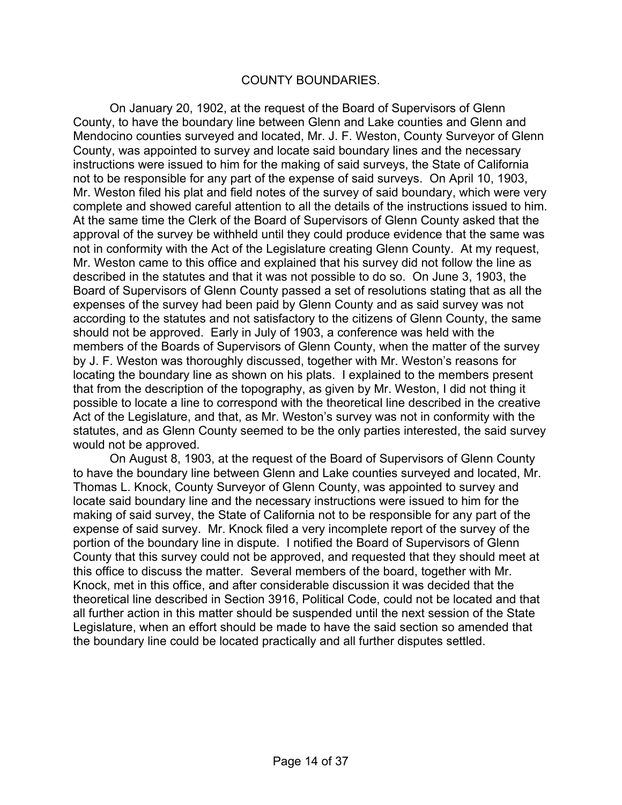#### COUNTY BOUNDARIES.

 On January 20, 1902, at the request of the Board of Supervisors of Glenn County, to have the boundary line between Glenn and Lake counties and Glenn and Mendocino counties surveyed and located, Mr. J. F. Weston, County Surveyor of Glenn County, was appointed to survey and locate said boundary lines and the necessary instructions were issued to him for the making of said surveys, the State of California not to be responsible for any part of the expense of said surveys. On April 10, 1903, Mr. Weston filed his plat and field notes of the survey of said boundary, which were very complete and showed careful attention to all the details of the instructions issued to him. At the same time the Clerk of the Board of Supervisors of Glenn County asked that the approval of the survey be withheld until they could produce evidence that the same was not in conformity with the Act of the Legislature creating Glenn County. At my request, Mr. Weston came to this office and explained that his survey did not follow the line as described in the statutes and that it was not possible to do so. On June 3, 1903, the Board of Supervisors of Glenn County passed a set of resolutions stating that as all the expenses of the survey had been paid by Glenn County and as said survey was not according to the statutes and not satisfactory to the citizens of Glenn County, the same should not be approved. Early in July of 1903, a conference was held with the members of the Boards of Supervisors of Glenn County, when the matter of the survey by J. F. Weston was thoroughly discussed, together with Mr. Weston's reasons for locating the boundary line as shown on his plats. I explained to the members present that from the description of the topography, as given by Mr. Weston, I did not thing it possible to locate a line to correspond with the theoretical line described in the creative Act of the Legislature, and that, as Mr. Weston's survey was not in conformity with the statutes, and as Glenn County seemed to be the only parties interested, the said survey would not be approved.

 On August 8, 1903, at the request of the Board of Supervisors of Glenn County to have the boundary line between Glenn and Lake counties surveyed and located, Mr. Thomas L. Knock, County Surveyor of Glenn County, was appointed to survey and locate said boundary line and the necessary instructions were issued to him for the making of said survey, the State of California not to be responsible for any part of the expense of said survey. Mr. Knock filed a very incomplete report of the survey of the portion of the boundary line in dispute. I notified the Board of Supervisors of Glenn County that this survey could not be approved, and requested that they should meet at this office to discuss the matter. Several members of the board, together with Mr. Knock, met in this office, and after considerable discussion it was decided that the theoretical line described in Section 3916, Political Code, could not be located and that all further action in this matter should be suspended until the next session of the State Legislature, when an effort should be made to have the said section so amended that the boundary line could be located practically and all further disputes settled.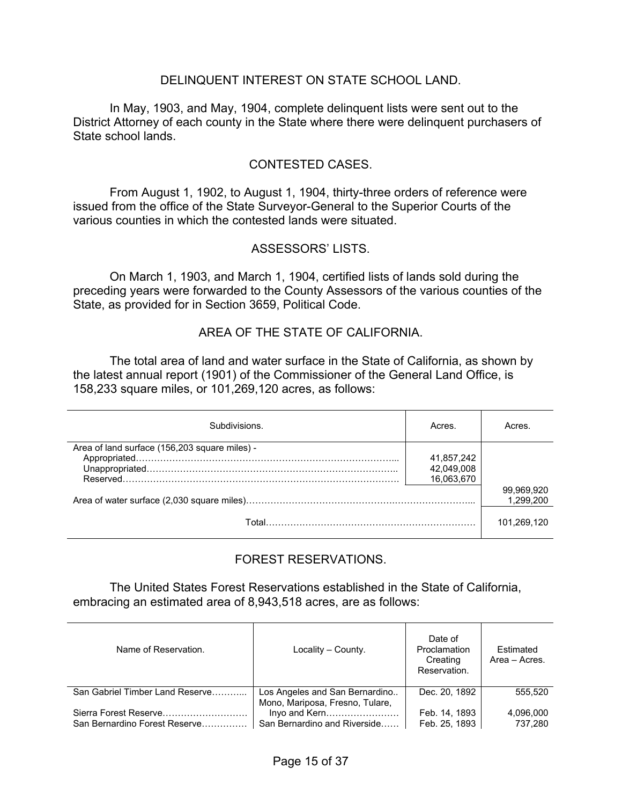#### DELINQUENT INTEREST ON STATE SCHOOL LAND.

 In May, 1903, and May, 1904, complete delinquent lists were sent out to the District Attorney of each county in the State where there were delinquent purchasers of State school lands.

#### CONTESTED CASES.

 From August 1, 1902, to August 1, 1904, thirty-three orders of reference were issued from the office of the State Surveyor-General to the Superior Courts of the various counties in which the contested lands were situated.

#### ASSESSORS' LISTS.

 On March 1, 1903, and March 1, 1904, certified lists of lands sold during the preceding years were forwarded to the County Assessors of the various counties of the State, as provided for in Section 3659, Political Code.

#### AREA OF THE STATE OF CALIFORNIA.

 The total area of land and water surface in the State of California, as shown by the latest annual report (1901) of the Commissioner of the General Land Office, is 158,233 square miles, or 101,269,120 acres, as follows:

| Subdivisions                                  | Acres.     | Acres.      |
|-----------------------------------------------|------------|-------------|
| Area of land surface (156,203 square miles) - |            |             |
|                                               | 41,857,242 |             |
|                                               | 42,049,008 |             |
|                                               | 16,063,670 |             |
|                                               |            | 99,969,920  |
|                                               |            | 1.299.200   |
|                                               |            |             |
|                                               |            | 101,269,120 |

#### FOREST RESERVATIONS.

 The United States Forest Reservations established in the State of California, embracing an estimated area of 8,943,518 acres, are as follows:

| Name of Reservation.            | Locality - County.                                                               | Date of<br>Proclamation<br>Creating<br>Reservation. | Estimated<br>Area - Acres. |
|---------------------------------|----------------------------------------------------------------------------------|-----------------------------------------------------|----------------------------|
| San Gabriel Timber Land Reserve | Los Angeles and San Bernardino                                                   | Dec. 20, 1892                                       | 555.520                    |
| San Bernardino Forest Reserve   | Mono, Mariposa, Fresno, Tulare,<br>Invo and Kern<br>San Bernardino and Riverside | Feb. 14, 1893<br>Feb. 25, 1893                      | 4,096,000<br>737.280       |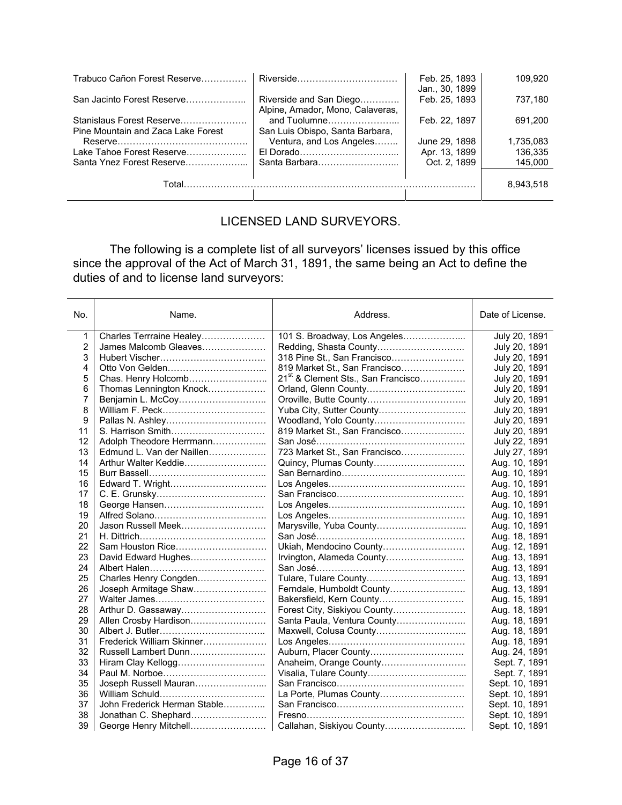| Trabuco Cañon Forest Reserve                                    | Riverside                                                   | Feb. 25, 1893<br>Jan., 30, 1899 | 109.920   |
|-----------------------------------------------------------------|-------------------------------------------------------------|---------------------------------|-----------|
| San Jacinto Forest Reserve                                      | Riverside and San Diego<br>Alpine, Amador, Mono, Calaveras, | Feb. 25, 1893                   | 737,180   |
| Stanislaus Forest Reserve<br>Pine Mountain and Zaca Lake Forest | and Tuolumne<br>San Luis Obispo, Santa Barbara,             | Feb. 22, 1897                   | 691.200   |
|                                                                 | Ventura, and Los Angeles                                    | June 29, 1898                   | 1.735.083 |
| Lake Tahoe Forest Reserve                                       |                                                             | Apr. 13, 1899                   | 136.335   |
| Santa Ynez Forest Reserve                                       | Santa Barbara                                               | Oct. 2. 1899                    | 145.000   |
| Total                                                           |                                                             |                                 | 8.943.518 |

#### LICENSED LAND SURVEYORS.

 The following is a complete list of all surveyors' licenses issued by this office since the approval of the Act of March 31, 1891, the same being an Act to define the duties of and to license land surveyors:

| No. | Name.                        | Address.                                       | Date of License. |
|-----|------------------------------|------------------------------------------------|------------------|
| 1   | Charles Terrraine Healey     | 101 S. Broadway, Los Angeles                   | July 20, 1891    |
| 2   | James Malcomb Gleaves        |                                                | July 20, 1891    |
| 3   |                              | 318 Pine St., San Francisco                    | July 20, 1891    |
| 4   |                              | 819 Market St., San Francisco                  | July 20, 1891    |
| 5   | Chas. Henry Holcomb          | 21 <sup>st</sup> & Clement Sts., San Francisco | July 20, 1891    |
| 6   | Thomas Lennington Knock      |                                                | July 20, 1891    |
| 7   |                              |                                                | July 20, 1891    |
| 8   |                              |                                                | July 20, 1891    |
| 9   |                              | Woodland, Yolo County                          | July 20, 1891    |
| 11  |                              | 819 Market St., San Francisco                  | July 20, 1891    |
| 12  | Adolph Theodore Herrmann     |                                                | July 22, 1891    |
| 13  | Edmund L. Van der Naillen    | 723 Market St., San Francisco                  | July 27, 1891    |
| 14  | Arthur Walter Keddie         | Quincy, Plumas County                          | Aug. 10, 1891    |
| 15  |                              |                                                | Aug. 10, 1891    |
| 16  |                              |                                                | Aug. 10, 1891    |
| 17  |                              |                                                | Aug. 10, 1891    |
| 18  |                              |                                                | Aug. 10, 1891    |
| 19  |                              |                                                | Aug. 10, 1891    |
| 20  | Jason Russell Meek           |                                                | Aug. 10, 1891    |
| 21  |                              |                                                | Aug. 18, 1891    |
| 22  | Sam Houston Rice             | Ukiah, Mendocino County                        | Aug. 12, 1891    |
| 23  | David Edward Hughes          | Irvington, Alameda County                      | Aug. 13, 1891    |
| 24  |                              |                                                | Aug. 13, 1891    |
| 25  | Charles Henry Congden        |                                                | Aug. 13, 1891    |
| 26  | Joseph Armitage Shaw         | Ferndale, Humboldt County                      | Aug. 13, 1891    |
| 27  |                              | Bakersfield, Kern County                       | Aug. 15, 1891    |
| 28  | Arthur D. Gassaway           | Forest City, Siskiyou County                   | Aug. 18, 1891    |
| 29  | Allen Crosby Hardison        | Santa Paula, Ventura County                    | Aug. 18, 1891    |
| 30  |                              |                                                | Aug. 18, 1891    |
| 31  | Frederick William Skinner    |                                                | Aug. 18, 1891    |
| 32  | Russell Lambert Dunn         | Auburn, Placer County                          | Aug. 24, 1891    |
| 33  | Hiram Clay Kellogg           | Anaheim, Orange County                         | Sept. 7, 1891    |
| 34  |                              |                                                | Sept. 7, 1891    |
| 35  | Joseph Russell Mauran        |                                                | Sept. 10, 1891   |
| 36  |                              | La Porte, Plumas County                        | Sept. 10, 1891   |
| 37  | John Frederick Herman Stable |                                                | Sept. 10, 1891   |
| 38  | Jonathan C. Shephard         |                                                | Sept. 10, 1891   |
| 39  | George Henry Mitchell        | Callahan, Siskiyou County                      | Sept. 10, 1891   |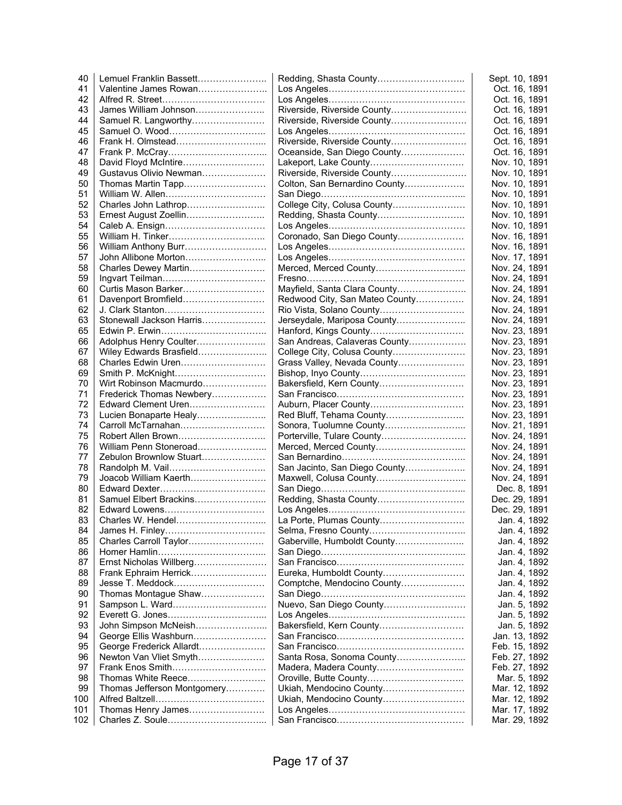| 40  | Lemuel Franklin Bassett     |                                | Sept. 10, 1891 |
|-----|-----------------------------|--------------------------------|----------------|
| 41  | Valentine James Rowan       |                                | Oct. 16, 1891  |
| 42  |                             |                                | Oct. 16, 1891  |
| 43  | James William Johnson       | Riverside, Riverside County    | Oct. 16, 1891  |
| 44  | Samuel R. Langworthy        | Riverside, Riverside County    | Oct. 16, 1891  |
| 45  |                             |                                | Oct. 16, 1891  |
| 46  | Frank H. Olmstead           | Riverside, Riverside County    | Oct. 16, 1891  |
| 47  |                             | Oceanside, San Diego County    | Oct. 16, 1891  |
| 48  | David Floyd McIntire        | Lakeport, Lake County          | Nov. 10, 1891  |
| 49  | Gustavus Olivio Newman      | Riverside, Riverside County    | Nov. 10, 1891  |
| 50  | Thomas Martin Tapp          | Colton, San Bernardino County  | Nov. 10, 1891  |
| 51  |                             |                                | Nov. 10, 1891  |
| 52  | Charles John Lathrop        | College City, Colusa County    | Nov. 10, 1891  |
| 53  | Ernest August Zoellin       |                                | Nov. 10, 1891  |
| 54  |                             |                                | Nov. 10, 1891  |
| 55  | William H. Tinker           | Coronado, San Diego County     | Nov. 16, 1891  |
| 56  | William Anthony Burr        |                                | Nov. 16, 1891  |
| 57  | John Allibone Morton        |                                | Nov. 17, 1891  |
| 58  | Charles Dewey Martin        | Merced, Merced County          | Nov. 24, 1891  |
| 59  |                             |                                | Nov. 24, 1891  |
| 60  | Curtis Mason Barker         | Mayfield, Santa Clara County   | Nov. 24, 1891  |
| 61  | Davenport Bromfield         | Redwood City, San Mateo County | Nov. 24, 1891  |
| 62  |                             |                                |                |
|     | Stonewall Jackson Harris    | Rio Vista, Solano County       | Nov. 24, 1891  |
| 63  |                             | Jerseydale, Mariposa County    | Nov. 24, 1891  |
| 65  |                             | Hanford, Kings County          | Nov. 23, 1891  |
| 66  | Adolphus Henry Coulter      | San Andreas, Calaveras County  | Nov. 23, 1891  |
| 67  | Wiley Edwards Brasfield     | College City, Colusa County    | Nov. 23, 1891  |
| 68  | Charles Edwin Uren          | Grass Valley, Nevada County    | Nov. 23, 1891  |
| 69  | Smith P. McKnight           |                                | Nov. 23, 1891  |
| 70  | Wirt Robinson Macmurdo      | Bakersfield, Kern County       | Nov. 23, 1891  |
| 71  | Frederick Thomas Newbery    |                                | Nov. 23, 1891  |
| 72  | Edward Clement Uren         | Auburn, Placer County          | Nov. 23, 1891  |
| 73  | Lucien Bonaparte Healy      | Red Bluff, Tehama County       | Nov. 23, 1891  |
| 74  | Carroll McTarnahan          |                                | Nov. 21, 1891  |
| 75  | Robert Allen Brown          | Porterville, Tulare County     | Nov. 24, 1891  |
| 76  | William Penn Stoneroad      | Merced, Merced County          | Nov. 24, 1891  |
| 77  | Zebulon Brownlow Stuart     |                                | Nov. 24, 1891  |
| 78  |                             | San Jacinto, San Diego County  | Nov. 24, 1891  |
| 79  | Joacob William Kaerth       | Maxwell, Colusa County         | Nov. 24, 1891  |
| 80  |                             |                                | Dec. 8, 1891   |
| 81  | Samuel Elbert Brackins      | Redding, Shasta County         | Dec. 29, 1891  |
| 82  | Edward Lowens               |                                | Dec. 29, 1891  |
| 83  | Charles W. Hendel           | La Porte, Plumas County        | Jan. 4, 1892   |
| 84  |                             | Selma, Fresno County           | Jan. 4, 1892   |
| 85  | Charles Carroll Taylor      | Gaberville, Humboldt County    | Jan. 4, 1892   |
| 86  |                             |                                | Jan. 4, 1892   |
| 87  | Ernst Nicholas Willberg     |                                | Jan. 4, 1892   |
| 88  | Frank Ephraim Herrick       | Eureka, Humboldt County        | Jan. 4, 1892   |
| 89  | Jesse T. Meddock            | Comptche, Mendocino County     | Jan. 4, 1892   |
| 90  | Thomas Montague Shaw        |                                | Jan. 4, 1892   |
| 91  | Sampson L. Ward             | Nuevo, San Diego County        | Jan. 5, 1892   |
| 92  |                             |                                | Jan. 5, 1892   |
| 93  | John Simpson McNeish        | Bakersfield, Kern County       | Jan. 5, 1892   |
| 94  | George Ellis Washburn       |                                | Jan. 13, 1892  |
| 95  | George Frederick Allardt    |                                | Feb. 15, 1892  |
| 96  | Newton Van Vliet Smyth      | Santa Rosa, Sonoma County      | Feb. 27, 1892  |
|     |                             |                                |                |
| 97  |                             |                                | Feb. 27, 1892  |
| 98  |                             |                                | Mar. 5, 1892   |
| 99  | Thomas Jefferson Montgomery | Ukiah, Mendocino County        | Mar. 12, 1892  |
| 100 |                             | Ukiah, Mendocino County        | Mar. 12, 1892  |
| 101 | Thomas Henry James          |                                | Mar. 17, 1892  |
| 102 |                             |                                | Mar. 29, 1892  |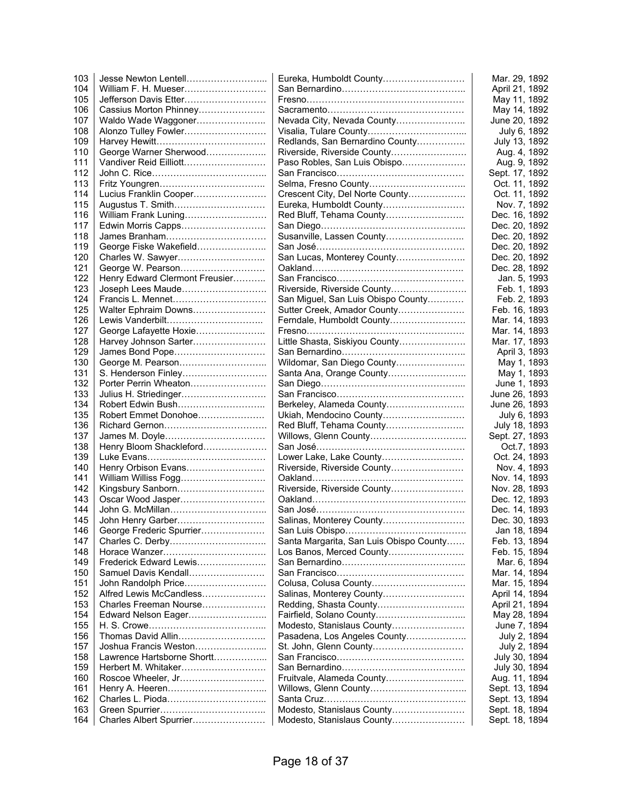| 103 |                                | Eureka, Humboldt County                 | Mar. 29, 1892  |
|-----|--------------------------------|-----------------------------------------|----------------|
| 104 | William F. H. Mueser           |                                         | April 21, 1892 |
| 105 | Jefferson Davis Etter          |                                         | May 11, 1892   |
| 106 | Cassius Morton Phinney         |                                         | May 14, 1892   |
| 107 | Waldo Wade Waggoner            | Nevada City, Nevada County              | June 20, 1892  |
| 108 | Alonzo Tulley Fowler           |                                         | July 6, 1892   |
| 109 |                                | Redlands, San Bernardino County         | July 13, 1892  |
| 110 | George Warner Sherwood         | Riverside, Riverside County             | Aug. 4, 1892   |
| 111 | Vandiver Reid Eilliott         | Paso Robles, San Luis Obispo            | Aug. 9, 1892   |
| 112 |                                |                                         | Sept. 17, 1892 |
| 113 |                                |                                         | Oct. 11, 1892  |
| 114 | Lucius Franklin Cooper         | Crescent City, Del Norte County         | Oct. 11, 1892  |
| 115 | Augustus T. Smith              | Eureka, Humboldt County                 | Nov. 7, 1892   |
| 116 | William Frank Luning           |                                         | Dec. 16, 1892  |
| 117 | Edwin Morris Capps             |                                         | Dec. 20, 1892  |
| 118 |                                | Susanville, Lassen County               | Dec. 20, 1892  |
| 119 | George Fiske Wakefield         |                                         | Dec. 20, 1892  |
| 120 | Charles W. Sawyer              | San Lucas, Monterey County              | Dec. 20, 1892  |
| 121 | George W. Pearson              |                                         | Dec. 28, 1892  |
| 122 | Henry Edward Clermont Freusier |                                         | Jan. 5, 1993   |
| 123 | Joseph Lees Maude              | Riverside, Riverside County             | Feb. 1, 1893   |
| 124 | Francis L. Mennet              | San Miguel, San Luis Obispo County      | Feb. 2, 1893   |
| 125 | Walter Ephraim Downs           | Sutter Creek, Amador County             | Feb. 16, 1893  |
| 126 | Lewis Vanderbilt               | Ferndale, Humboldt County               | Mar. 14, 1893  |
| 127 | George Lafayette Hoxie         |                                         |                |
| 128 |                                |                                         | Mar. 14, 1893  |
| 129 | Harvey Johnson Sarter          | Little Shasta, Siskiyou County          | Mar. 17, 1893  |
|     | James Bond Pope                |                                         | April 3, 1893  |
| 130 | George M. Pearson              | Wildomar, San Diego County              | May 1, 1893    |
| 131 | S. Henderson Finley            | Santa Ana, Orange County                | May 1, 1893    |
| 132 | Porter Perrin Wheaton          |                                         | June 1, 1893   |
| 133 | Julius H. Striedinger          |                                         | June 26, 1893  |
| 134 |                                | Berkeley, Alameda County                | June 26, 1893  |
| 135 | Robert Emmet Donohoe           | Ukiah, Mendocino County                 | July 6, 1893   |
| 136 |                                | Red Bluff, Tehama County                | July 18, 1893  |
| 137 | James M. Doyle                 |                                         | Sept. 27, 1893 |
| 138 | Henry Bloom Shackleford        |                                         | Oct.7, 1893    |
| 139 |                                | Lower Lake, Lake County                 | Oct. 24, 1893  |
| 140 | Henry Orbison Evans            | Riverside, Riverside County             | Nov. 4, 1893   |
| 141 | William Williss Fogg           |                                         | Nov. 14, 1893  |
| 142 | Kingsbury Sanborn              | Riverside, Riverside County             | Nov. 28, 1893  |
| 143 | Oscar Wood Jasper              |                                         | Dec. 12, 1893  |
| 144 |                                |                                         | Dec. 14, 1893  |
| 145 | John Henry Garber              | Salinas, Monterey County                | Dec. 30, 1893  |
| 146 | George Frederic Spurrier       |                                         | Jan 18, 1894   |
| 147 |                                | Santa Margarita, San Luis Obispo County | Feb. 13, 1894  |
| 148 |                                | Los Banos, Merced County                | Feb. 15, 1894  |
| 149 | Frederick Edward Lewis         |                                         | Mar. 6, 1894   |
| 150 | Samuel Davis Kendall           |                                         | Mar. 14, 1894  |
| 151 | John Randolph Price            | Colusa, Colusa County                   | Mar. 15, 1894  |
| 152 | Alfred Lewis McCandless        | Salinas, Monterey County                | April 14, 1894 |
| 153 | Charles Freeman Nourse         |                                         | April 21, 1894 |
| 154 | Edward Nelson Eager            |                                         | May 28, 1894   |
| 155 |                                | Modesto, Stanislaus County              | June 7, 1894   |
| 156 | Thomas David Allin             | Pasadena, Los Angeles County            | July 2, 1894   |
| 157 | Joshua Francis Weston          |                                         | July 2, 1894   |
| 158 | Lawrence Hartsborne Shortt     |                                         | July 30, 1894  |
| 159 |                                |                                         | July 30, 1894  |
| 160 | Roscoe Wheeler, Jr             | Fruitvale, Alameda County               | Aug. 11, 1894  |
| 161 |                                |                                         | Sept. 13, 1894 |
| 162 |                                |                                         | Sept. 13, 1894 |
| 163 |                                | Modesto, Stanislaus County              | Sept. 18, 1894 |
| 164 | Charles Albert Spurrier        | Modesto, Stanislaus County              | Sept. 18, 1894 |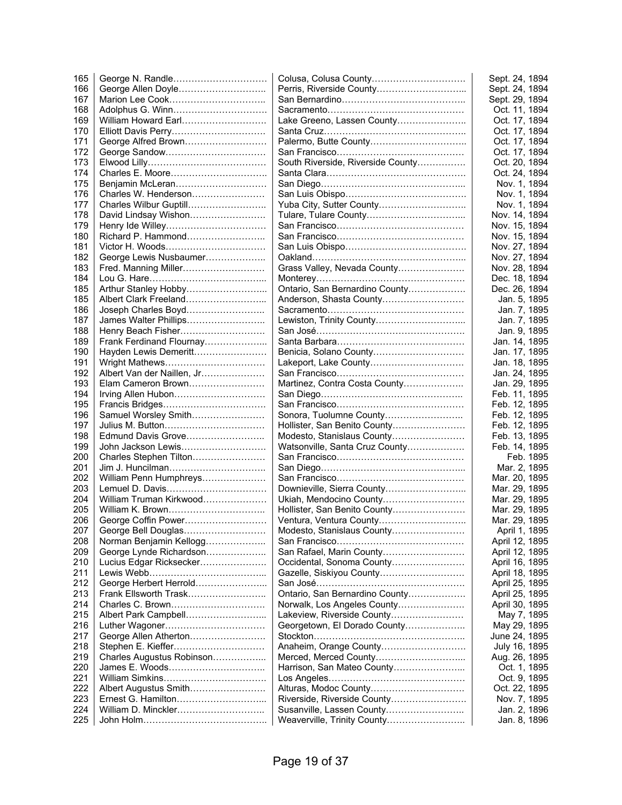| 165 |                            |                                   | Sept. 24, 1894 |
|-----|----------------------------|-----------------------------------|----------------|
| 166 | George Allen Doyle         |                                   | Sept. 24, 1894 |
| 167 |                            |                                   | Sept. 29, 1894 |
| 168 |                            |                                   | Oct. 11, 1894  |
| 169 | William Howard Earl        | Lake Greeno, Lassen County        | Oct. 17, 1894  |
| 170 |                            |                                   | Oct. 17, 1894  |
| 171 | George Alfred Brown        |                                   | Oct. 17, 1894  |
| 172 |                            |                                   | Oct. 17, 1894  |
| 173 |                            | South Riverside, Riverside County | Oct. 20, 1894  |
| 174 |                            |                                   | Oct. 24, 1894  |
| 175 | Benjamin McLeran           |                                   | Nov. 1, 1894   |
| 176 | Charles W. Henderson       |                                   | Nov. 1, 1894   |
| 177 | Charles Wilbur Guptill     | Yuba City, Sutter County          | Nov. 1, 1894   |
| 178 | David Lindsay Wishon       |                                   | Nov. 14, 1894  |
| 179 |                            |                                   | Nov. 15, 1894  |
| 180 | Richard P. Hammond         |                                   | Nov. 15, 1894  |
| 181 |                            |                                   | Nov. 27, 1894  |
| 182 | George Lewis Nusbaumer     |                                   | Nov. 27, 1894  |
| 183 | Fred. Manning Miller       | Grass Valley, Nevada County       | Nov. 28, 1894  |
| 184 |                            |                                   | Dec. 18, 1894  |
| 185 |                            | Ontario, San Bernardino County    | Dec. 26, 1894  |
| 185 |                            | Anderson, Shasta County           | Jan. 5, 1895   |
| 186 |                            |                                   | Jan. 7, 1895   |
| 187 | James Walter Phillips      |                                   | Jan. 7, 1895   |
| 188 | Henry Beach Fisher         |                                   | Jan. 9, 1895   |
| 189 | Frank Ferdinand Flournay   |                                   | Jan. 14, 1895  |
| 190 | Hayden Lewis Demeritt      | Benicia, Solano County            | Jan. 17, 1895  |
| 191 |                            | Lakeport, Lake County             | Jan. 18, 1895  |
| 192 | Albert Van der Naillen, Jr |                                   | Jan. 24, 1895  |
| 193 | Elam Cameron Brown         | Martinez, Contra Costa County     | Jan. 29, 1895  |
| 194 | Irving Allen Hubon         |                                   | Feb. 11, 1895  |
| 195 |                            |                                   | Feb. 12, 1895  |
| 196 | Samuel Worsley Smith       | Sonora, Tuolumne County           | Feb. 12, 1895  |
| 197 |                            | Hollister, San Benito County      | Feb. 12, 1895  |
| 198 | Edmund Davis Grove         | Modesto, Stanislaus County        | Feb. 13, 1895  |
| 199 | John Jackson Lewis         | Watsonville, Santa Cruz County    | Feb. 14, 1895  |
| 200 | Charles Stephen Tilton     |                                   | Feb. 1895      |
| 201 |                            |                                   | Mar. 2, 1895   |
| 202 | William Penn Humphreys     |                                   | Mar. 20, 1895  |
| 203 | Lemuel D. Davis            | Downieville, Sierra County        | Mar. 29, 1895  |
| 204 | William Truman Kirkwood    | Ukiah, Mendocino County           | Mar. 29, 1895  |
| 205 |                            | Hollister, San Benito County      | Mar. 29, 1895  |
| 206 |                            |                                   | Mar. 29, 1895  |
| 207 | George Bell Douglas        | Modesto, Stanislaus County        | April 1, 1895  |
| 208 | Norman Benjamin Kellogg    |                                   | April 12, 1895 |
| 209 | George Lynde Richardson    | San Rafael, Marin County          | April 12, 1895 |
| 210 | Lucius Edgar Ricksecker    | Occidental, Sonoma County         | April 16, 1895 |
| 211 |                            | Gazelle, Siskiyou County          | April 18, 1895 |
| 212 | George Herbert Herrold     |                                   | April 25, 1895 |
| 213 | Frank Ellsworth Trask      | Ontario, San Bernardino County    | April 25, 1895 |
| 214 | Charles C. Brown           | Norwalk, Los Angeles County       | April 30, 1895 |
| 215 | Albert Park Campbell       | Lakeview, Riverside County        | May 7, 1895    |
| 216 |                            | Georgetown, El Dorado County      | May 29, 1895   |
| 217 | George Allen Atherton      |                                   | June 24, 1895  |
| 218 | Stephen E. Kieffer         | Anaheim, Orange County            | July 16, 1895  |
| 219 | Charles Augustus Robinson  |                                   | Aug. 26, 1895  |
| 220 |                            | Harrison, San Mateo County        | Oct. 1, 1895   |
| 221 |                            |                                   | Oct. 9, 1895   |
| 222 | Albert Augustus Smith      | Alturas, Modoc County             | Oct. 22, 1895  |
| 223 |                            | Riverside, Riverside County       | Nov. 7, 1895   |
| 224 |                            | Susanville, Lassen County         | Jan. 2, 1896   |
| 225 |                            | Weaverville, Trinity County       | Jan. 8, 1896   |
|     |                            |                                   |                |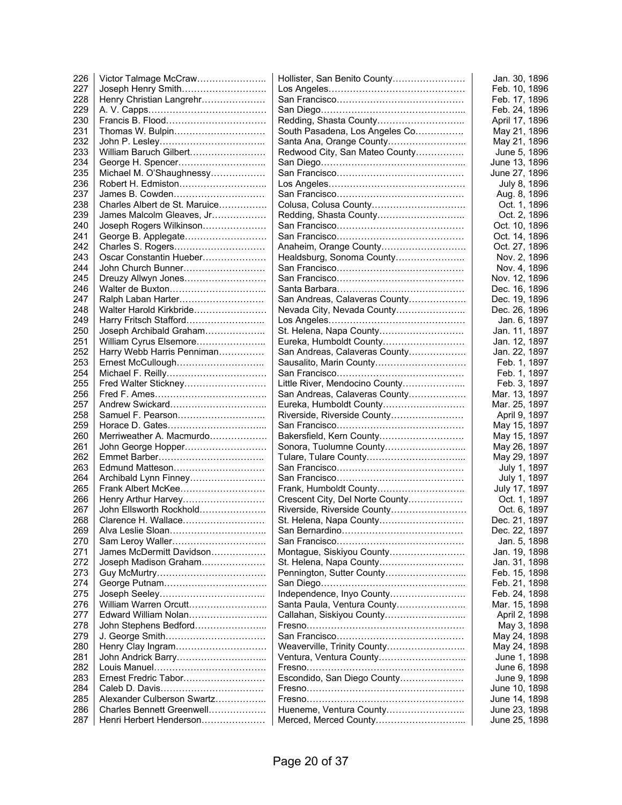| 226        | Victor Talmage McCraw                                | Hollister, San Benito County    | Jan. 30, 1896                  |
|------------|------------------------------------------------------|---------------------------------|--------------------------------|
| 227        | Joseph Henry Smith                                   |                                 | Feb. 10, 1896                  |
| 228        | Henry Christian Langrehr                             |                                 | Feb. 17, 1896                  |
| 229        |                                                      |                                 | Feb. 24, 1896                  |
| 230        |                                                      |                                 | April 17, 1896                 |
| 231        | Thomas W. Bulpin                                     | South Pasadena, Los Angeles Co  | May 21, 1896                   |
| 232        |                                                      | Santa Ana, Orange County        | May 21, 1896                   |
| 233        | William Baruch Gilbert                               | Redwood City, San Mateo County  | June 5, 1896                   |
| 234        | George H. Spencer                                    |                                 | June 13, 1896                  |
| 235        | Michael M. O'Shaughnessy                             |                                 | June 27, 1896                  |
| 236        | Robert H. Edmiston                                   |                                 | July 8, 1896                   |
| 237        | James B. Cowden                                      |                                 | Aug. 8, 1896                   |
| 238        | Charles Albert de St. Maruice                        | Colusa, Colusa County           | Oct. 1, 1896                   |
| 239        | James Malcolm Gleaves, Jr                            | Redding, Shasta County          | Oct. 2, 1896                   |
| 240        | Joseph Rogers Wilkinson                              |                                 | Oct. 10, 1896                  |
| 241        | George B. Applegate                                  |                                 | Oct. 14, 1896                  |
| 242        | Charles S. Rogers                                    | Anaheim, Orange County          | Oct. 27, 1896                  |
| 243        | Oscar Constantin Hueber                              | Healdsburg, Sonoma County       | Nov. 2, 1896                   |
| 244        | John Church Bunner                                   |                                 | Nov. 4, 1896                   |
|            |                                                      |                                 |                                |
| 245        | Dreuzy Allwyn Jones                                  |                                 | Nov. 12, 1896                  |
| 246        |                                                      |                                 | Dec. 16, 1896                  |
| 247        | Ralph Laban Harter                                   | San Andreas, Calaveras County   | Dec. 19, 1896                  |
| 248        | Walter Harold Kirkbride                              | Nevada City, Nevada County      | Dec. 26, 1896                  |
| 249        | Harry Fritsch Stafford                               |                                 | Jan. 6, 1897                   |
| 250        | Joseph Archibald Graham                              | St. Helena, Napa County         | Jan. 11, 1897                  |
| 251        | William Cyrus Elsemore                               | Eureka, Humboldt County         | Jan. 12, 1897                  |
| 252        | Harry Webb Harris Penniman                           | San Andreas, Calaveras County   | Jan. 22, 1897                  |
| 253        | Ernest McCullough                                    | Sausalito, Marin County         | Feb. 1, 1897                   |
| 254        |                                                      |                                 | Feb. 1, 1897                   |
| 255        | Fred Walter Stickney                                 | Little River, Mendocino County  | Feb. 3, 1897                   |
| 256        |                                                      | San Andreas, Calaveras County   | Mar. 13, 1897                  |
| 257        | Andrew Swickard                                      | Eureka, Humboldt County         | Mar. 25, 1897                  |
| 258        | Samuel F. Pearson                                    | Riverside, Riverside County     | April 9, 1897                  |
| 259        |                                                      |                                 | May 15, 1897                   |
| 260        | Merriweather A. Macmurdo                             | Bakersfield, Kern County        | May 15, 1897                   |
| 261        | John George Hopper                                   | Sonora, Tuolumne County         | May 26, 1897                   |
| 262        |                                                      |                                 | May 29, 1897                   |
| 263        | Edmund Matteson                                      |                                 | July 1, 1897                   |
| 264        | Archibald Lynn Finney                                |                                 | July 1, 1897                   |
| 265        | Frank Albert McKee                                   | Frank, Humboldt County          | July 17, 1897                  |
| 266        | Henry Arthur Harvey                                  | Crescent City, Del Norte County | Oct. 1, 1897                   |
| 267        | John Ellsworth Rockhold                              | Riverside, Riverside County     | Oct. 6, 1897                   |
| 268        | Clarence H. Wallace                                  | St. Helena, Napa County         | Dec. 21, 1897                  |
| 269        | Alva Leslie Sloan                                    |                                 | Dec. 22, 1897                  |
| 270        | Sam Leroy Waller                                     |                                 | Jan. 5, 1898                   |
| 271        | James McDermitt Davidson                             | Montague, Siskiyou County       | Jan. 19, 1898                  |
| 272        | Joseph Madison Graham                                | St. Helena, Napa County         | Jan. 31, 1898                  |
|            |                                                      |                                 |                                |
| 273        |                                                      |                                 | Feb. 15, 1898                  |
| 274        |                                                      |                                 | Feb. 21, 1898                  |
| 275        |                                                      | Independence, Inyo County       | Feb. 24, 1898                  |
| 276        | William Warren Orcutt                                | Santa Paula, Ventura County     | Mar. 15, 1898                  |
| 277        | Edward William Nolan                                 | Callahan, Siskiyou County       | April 2, 1898                  |
| 278        | John Stephens Bedford                                |                                 | May 3, 1898                    |
| 279        |                                                      |                                 | May 24, 1898                   |
| 280        | Henry Clay Ingram                                    | Weaverville, Trinity County     | May 24, 1898                   |
| 281        | John Andrick Barry                                   | Ventura, Ventura County         | June 1, 1898                   |
| 282        |                                                      |                                 | June 6, 1898                   |
| 283        | Ernest Fredric Tabor                                 | Escondido, San Diego County     | June 9, 1898                   |
| 284        |                                                      |                                 | June 10, 1898                  |
|            |                                                      |                                 |                                |
| 285        | Alexander Culberson Swartz                           |                                 | June 14, 1898                  |
| 286<br>287 | Charles Bennett Greenwell<br>Henri Herbert Henderson | Hueneme, Ventura County         | June 23, 1898<br>June 25, 1898 |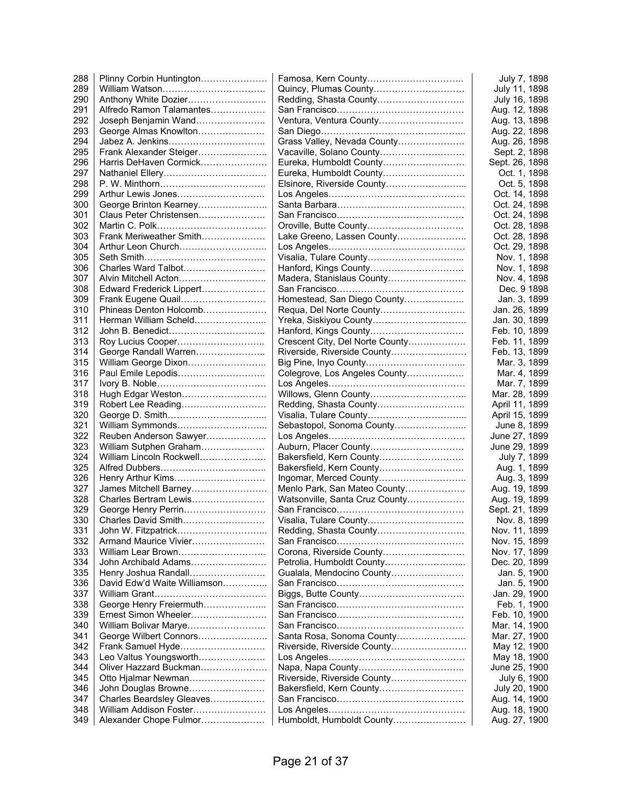| 288 | Plinny Corbin Huntington     |                                 | July 7, 1898                   |
|-----|------------------------------|---------------------------------|--------------------------------|
| 289 |                              | Quincy, Plumas County           | July 11, 1898                  |
| 290 | Anthony White Dozier         |                                 | July 16, 1898                  |
| 291 | Alfredo Ramon Talamantes     |                                 | Aug. 12, 1898                  |
| 292 | Joseph Benjamin Wand         | Ventura, Ventura County         | Aug. 13, 1898                  |
| 293 | George Almas Knowlton        |                                 | Aug. 22, 1898                  |
| 294 |                              | Grass Valley, Nevada County     | Aug. 26, 1898                  |
| 295 | Frank Alexander Steiger      | Vacaville, Solano County        | Sept. 2, 1898                  |
| 296 | Harris DeHaven Cormick       | Eureka, Humboldt County         | Sept. 26, 1898                 |
| 297 |                              | Eureka, Humboldt County         | Oct. 1, 1898                   |
| 298 |                              |                                 | Oct. 5, 1898                   |
| 299 | Arthur Lewis Jones           |                                 | Oct. 14, 1898                  |
| 300 | George Brinton Kearney       |                                 | Oct. 24, 1898                  |
| 301 | Claus Peter Christensen      |                                 | Oct. 24, 1898                  |
| 302 |                              | Oroville, Butte County          | Oct. 28, 1898                  |
| 303 | Frank Meriweather Smith      | Lake Greeno, Lassen County      | Oct. 28, 1898                  |
| 304 | Arthur Leon Church           |                                 | Oct. 29, 1898                  |
| 305 |                              |                                 |                                |
|     | Charles Ward Talbot          |                                 | Nov. 1, 1898                   |
| 306 |                              | Hanford, Kings County           | Nov. 1, 1898                   |
| 307 | Alvin Mitchell Acton         | Madera, Stanislaus County       | Nov. 4, 1898                   |
| 308 | Edward Frederick Lippert     |                                 | Dec. 9 1898                    |
| 309 | Frank Eugene Quail           | Homestead, San Diego County     | Jan. 3, 1899                   |
| 310 | Phineas Denton Holcomb       |                                 | Jan. 26, 1899                  |
| 311 | Herman William Scheld        | Yreka, Siskiyou County          | Jan. 30, 1899                  |
| 312 | John B. Benedict             |                                 | Feb. 10, 1899                  |
| 313 | Roy Lucius Cooper            | Crescent City, Del Norte County | Feb. 11, 1899                  |
| 314 | George Randall Warren        | Riverside, Riverside County     | Feb. 13, 1899                  |
| 315 | William George Dixon         |                                 | Mar. 3, 1899                   |
| 316 | Paul Emile Lepodis           | Colegrove, Los Angeles County   | Mar. 4, 1899                   |
| 317 |                              |                                 | Mar. 7, 1899                   |
| 318 | Hugh Edgar Weston            |                                 | Mar. 28, 1899                  |
| 319 | Robert Lee Reading           | Redding, Shasta County          | April 11, 1899                 |
| 320 |                              |                                 | April 15, 1899                 |
| 321 | William Symmonds             | Sebastopol, Sonoma County       | June 8, 1899                   |
| 322 | Reuben Anderson Sawyer       |                                 | June 27, 1899                  |
| 323 | William Sutphen Graham       |                                 | June 29, 1899                  |
| 324 | William Lincoln Rockwell     | Bakersfield, Kern County        | July 7, 1899                   |
| 325 |                              | Bakersfield, Kern County        | Aug. 1, 1899                   |
| 326 | Henry Arthur Kims            | Ingomar, Merced County          | Aug. 3, 1899                   |
| 327 | James Mitchell Barney        | Menlo Park, San Mateo County    | Aug. 19, 1899                  |
| 328 | Charles Bertram Lewis        | Watsonville, Santa Cruz County  | Aug. 19, 1899                  |
| 329 | George Henry Perrin          |                                 | Sept. 21, 1899                 |
| 330 | Charles David Smith          |                                 | Nov. 8, 1899                   |
| 331 |                              | Redding, Shasta County          | Nov. 11, 1899                  |
| 332 | Armand Maurice Vivier        |                                 | Nov. 15, 1899                  |
| 333 | William Lear Brown           | Corona, Riverside County        | Nov. 17, 1899                  |
| 334 | John Archibald Adams         |                                 | Dec. 20, 1899                  |
| 335 | Henry Joshua Randall         | Gualala, Mendocino County       | Jan. 5, 1900                   |
| 336 | David Edw'd Waite Williamson |                                 | Jan. 5, 1900                   |
| 337 |                              |                                 | Jan. 29, 1900                  |
| 338 | George Henry Freiermuth      |                                 | Feb. 1, 1900                   |
| 339 | Ernest Simon Wheeler         |                                 | Feb. 10, 1900                  |
| 340 | William Bolivar Marye        |                                 | Mar. 14, 1900                  |
| 341 | George Wilbert Connors       | Santa Rosa, Sonoma County       | Mar. 27, 1900                  |
| 342 | Frank Samuel Hyde            | Riverside, Riverside County     | May 12, 1900                   |
| 343 | Leo Valtus Youngsworth       |                                 | May 18, 1900                   |
| 344 | Oliver Hazzard Buckman       |                                 | June 25, 1900                  |
| 345 | Otto Hjalmar Newman          | Riverside, Riverside County     | July 6, 1900                   |
| 346 | John Douglas Browne          | Bakersfield, Kern County        |                                |
| 347 | Charles Beardsley Gleaves    |                                 | July 20, 1900<br>Aug. 14, 1900 |
| 348 | William Addison Foster       |                                 |                                |
| 349 | Alexander Chope Fulmor       | Humboldt, Humboldt County       | Aug. 18, 1900                  |
|     |                              |                                 | Aug. 27, 1900                  |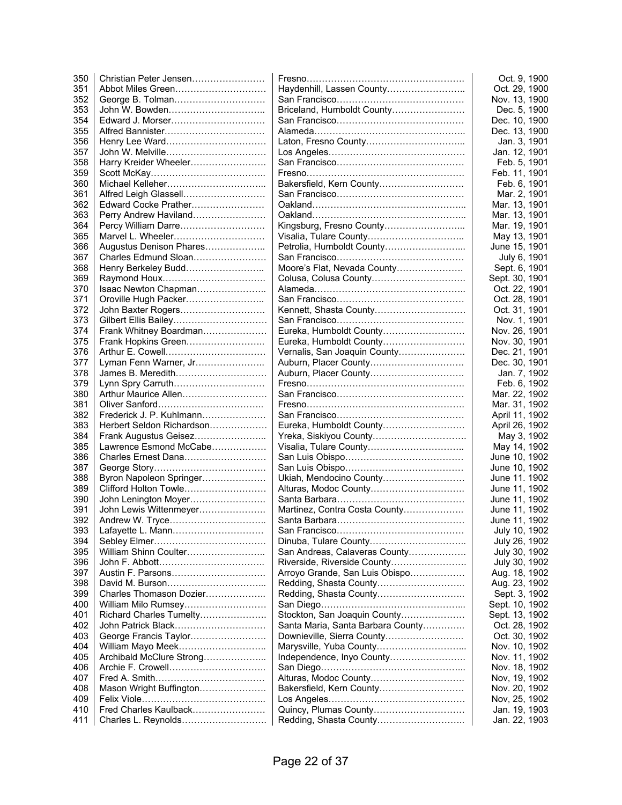| 350 | Christian Peter Jensen    |                                   | Oct. 9, 1900   |
|-----|---------------------------|-----------------------------------|----------------|
| 351 | Abbot Miles Green         | Haydenhill, Lassen County         | Oct. 29, 1900  |
| 352 |                           |                                   | Nov. 13, 1900  |
| 353 | John W. Bowden            | Briceland, Humboldt County        | Dec. 5, 1900   |
| 354 | Edward J. Morser          |                                   | Dec. 10, 1900  |
| 355 |                           |                                   | Dec. 13, 1900  |
| 356 | Henry Lee Ward            |                                   | Jan. 3, 1901   |
| 357 |                           |                                   | Jan. 12, 1901  |
| 358 | Harry Kreider Wheeler     |                                   | Feb. 5, 1901   |
| 359 |                           |                                   | Feb. 11, 1901  |
| 360 |                           | Bakersfield, Kern County          | Feb. 6, 1901   |
| 361 | Alfred Leigh Glassell     |                                   | Mar. 2, 1901   |
| 362 | Edward Cocke Prather      |                                   | Mar. 13, 1901  |
| 363 | Perry Andrew Haviland     |                                   | Mar. 13, 1901  |
| 364 | Percy William Darre       | Kingsburg, Fresno County          | Mar. 19, 1901  |
| 365 | Marvel L. Wheeler         |                                   | May 13, 1901   |
| 366 | Augustus Denison Phares   |                                   | June 15, 1901  |
| 367 | Charles Edmund Sloan      |                                   | July 6, 1901   |
| 368 | Henry Berkeley Budd       | Moore's Flat, Nevada County       | Sept. 6, 1901  |
| 369 |                           |                                   | Sept. 30, 1901 |
|     |                           | Colusa, Colusa County             |                |
| 370 | Isaac Newton Chapman      |                                   | Oct. 22, 1901  |
| 371 | Oroville Hugh Packer      |                                   | Oct. 28, 1901  |
| 372 | John Baxter Rogers        |                                   | Oct. 31, 1901  |
| 373 | Gilbert Ellis Bailey      |                                   | Nov. 1, 1901   |
| 374 | Frank Whitney Boardman    | Eureka, Humboldt County           | Nov. 26, 1901  |
| 375 | Frank Hopkins Green       | Eureka, Humboldt County           | Nov. 30, 1901  |
| 376 |                           | Vernalis, San Joaquin County      | Dec. 21, 1901  |
| 377 | Lyman Fenn Warner, Jr     | Auburn, Placer County             | Dec. 30, 1901  |
| 378 | James B. Meredith         |                                   | Jan. 7, 1902   |
| 379 | Lynn Spry Carruth         |                                   | Feb. 6, 1902   |
| 380 | Arthur Maurice Allen      |                                   | Mar. 22, 1902  |
| 381 |                           |                                   | Mar. 31, 1902  |
| 382 | Frederick J. P. Kuhlmann  |                                   | April 11, 1902 |
| 383 | Herbert Seldon Richardson | Eureka, Humboldt County           | April 26, 1902 |
| 384 | Frank Augustus Geisez     |                                   | May 3, 1902    |
| 385 | Lawrence Esmond McCabe    |                                   | May 14, 1902   |
| 386 | Charles Ernest Dana       |                                   | June 10, 1902  |
| 387 |                           |                                   | June 10, 1902  |
| 388 | Byron Napoleon Springer   | Ukiah, Mendocino County           | June 11. 1902  |
| 389 | Clifford Holton Towle     | Alturas, Modoc County             | June 11, 1902  |
| 390 | John Lenington Moyer      |                                   | June 11, 1902  |
| 391 | John Lewis Wittenmeyer    | Martinez, Contra Costa County     | June 11, 1902  |
| 392 |                           |                                   | June 11, 1902  |
| 393 | Lafayette L. Mann         |                                   | July 10, 1902  |
| 394 |                           |                                   | July 26, 1902  |
| 395 | William Shinn Coulter     | San Andreas, Calaveras County     | July 30, 1902  |
| 396 |                           | Riverside, Riverside County       | July 30, 1902  |
| 397 |                           | Arroyo Grande, San Luis Obispo    | Aug. 18, 1902  |
| 398 |                           |                                   | Aug. 23, 1902  |
| 399 | Charles Thomason Dozier   |                                   | Sept. 3, 1902  |
| 400 | William Milo Rumsey       |                                   | Sept. 10, 1902 |
| 401 | Richard Charles Tumelty   | Stockton, San Joaquin County      | Sept. 13, 1902 |
| 402 | John Patrick Black        | Santa Maria, Santa Barbara County | Oct. 28, 1902  |
| 403 | George Francis Taylor     |                                   | Oct. 30, 1902  |
| 404 | William Mayo Meek         |                                   | Nov. 10, 1902  |
| 405 | Archibald McClure Strong  | Independence, Inyo County         | Nov. 11, 1902  |
| 406 |                           |                                   | Nov. 18, 1902  |
| 407 |                           | Alturas, Modoc County             | Nov, 19, 1902  |
| 408 | Mason Wright Buffington   | Bakersfield, Kern County          | Nov. 20, 1902  |
| 409 |                           |                                   | Nov, 25, 1902  |
| 410 | Fred Charles Kaulback     | Quincy, Plumas County             | Jan. 19, 1903  |
| 411 | Charles L. Reynolds       |                                   | Jan. 22, 1903  |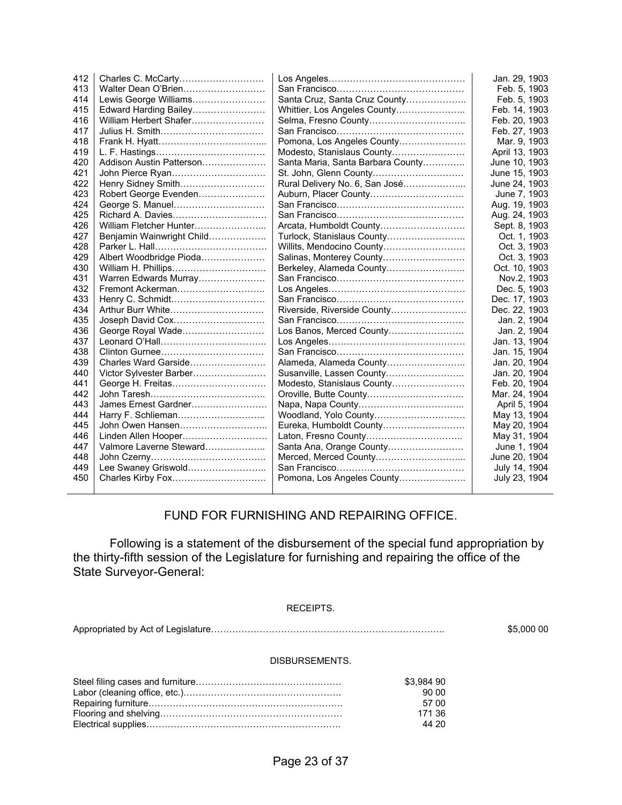| 412 |                           |                                   | Jan. 29, 1903  |
|-----|---------------------------|-----------------------------------|----------------|
| 413 | Walter Dean O'Brien       |                                   | Feb. 5, 1903   |
| 414 | Lewis George Williams     | Santa Cruz, Santa Cruz County     | Feb. 5, 1903   |
| 415 | Edward Harding Bailey     | Whittier, Los Angeles County      | Feb. 14, 1903  |
| 416 | William Herbert Shafer    |                                   | Feb. 20, 1903  |
| 417 |                           |                                   | Feb. 27, 1903  |
| 418 |                           | Pomona, Los Angeles County        | Mar. 9, 1903   |
| 419 |                           | Modesto, Stanislaus County        | April 13, 1903 |
| 420 | Addison Austin Patterson  | Santa Maria, Santa Barbara County | June 10, 1903  |
| 421 |                           | St. John, Glenn County            | June 15, 1903  |
| 422 | Henry Sidney Smith        | Rural Delivery No. 6, San José    | June 24, 1903  |
| 423 | Robert George Evenden     | Auburn, Placer County             | June 7, 1903   |
| 424 | George S. Manuel          |                                   | Aug. 19, 1903  |
| 425 |                           |                                   | Aug. 24, 1903  |
| 426 | William Fletcher Hunter   | Arcata, Humboldt County           | Sept. 8, 1903  |
| 427 | Benjamin Wainwright Child | Turlock, Stanislaus County        | Oct. 1, 1903   |
| 428 |                           | Willits, Mendocino County         | Oct. 3, 1903   |
| 429 | Albert Woodbridge Pioda   | Salinas, Monterey County          | Oct. 3, 1903   |
| 430 |                           |                                   | Oct. 10, 1903  |
| 431 | Warren Edwards Murray     |                                   | Nov.2, 1903    |
| 432 | Fremont Ackerman          |                                   | Dec. 5, 1903   |
| 433 |                           |                                   | Dec. 17, 1903  |
| 434 | Arthur Burr White         | Riverside, Riverside County       | Dec. 22, 1903  |
| 435 | Joseph David Cox          |                                   | Jan. 2, 1904   |
| 436 | George Royal Wade         | Los Banos, Merced County          | Jan. 2, 1904   |
| 437 |                           |                                   | Jan. 13, 1904  |
| 438 |                           |                                   | Jan. 15, 1904  |
| 439 | Charles Ward Garside      | Alameda, Alameda County           | Jan. 20, 1904  |
| 440 | Victor Sylvester Barber   | Susanville, Lassen County         | Jan. 20, 1904  |
| 441 | George H. Freitas         | Modesto, Stanislaus County        | Feb. 20, 1904  |
| 442 |                           |                                   | Mar. 24, 1904  |
| 443 | James Ernest Gardner      |                                   | April 5, 1904  |
| 444 | Harry F. Schlieman        | Woodland, Yolo County             | May 13, 1904   |
| 445 | John Owen Hansen          | Eureka, Humboldt County           | May 20, 1904   |
| 446 | Linden Allen Hooper       |                                   | May 31, 1904   |
| 447 | Valmore Laverne Steward   | Santa Ana, Orange County          | June 1, 1904   |
| 448 |                           |                                   | June 20, 1904  |
| 449 | Lee Swaney Griswold       |                                   | July 14, 1904  |
| 450 | Charles Kirby Fox         | Pomona, Los Angeles County        | July 23, 1904  |
|     |                           |                                   |                |

#### FUND FOR FURNISHING AND REPAIRING OFFICE.

 Following is a statement of the disbursement of the special fund appropriation by the thirty-fifth session of the Legislature for furnishing and repairing the office of the State Surveyor-General:

#### RECEIPTS.

Appropriated by Act of Legislature………………………………………………………………….. \$5,000 00

#### DISBURSEMENTS.

| \$3.984 90 |
|------------|
| 90.00      |
| 57.00      |
| 171 36     |
| 44 20      |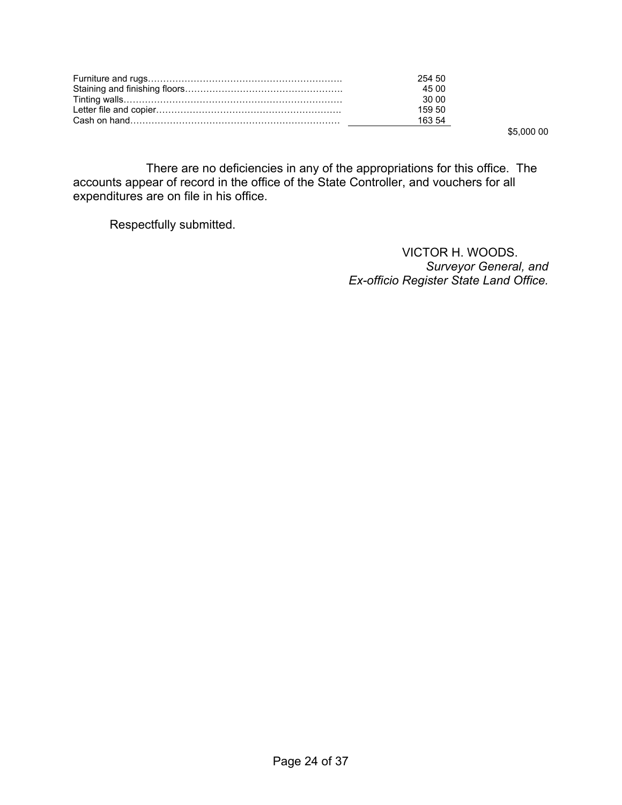| 254.50 |
|--------|
| 45.00  |
| 30.00  |
| 159.50 |
| 163.54 |
|        |

 $-$  \$5,000 00

 There are no deficiencies in any of the appropriations for this office. The accounts appear of record in the office of the State Controller, and vouchers for all expenditures are on file in his office.

Respectfully submitted.

VICTOR H. WOODS. *Surveyor General, and Ex-officio Register State Land Office.*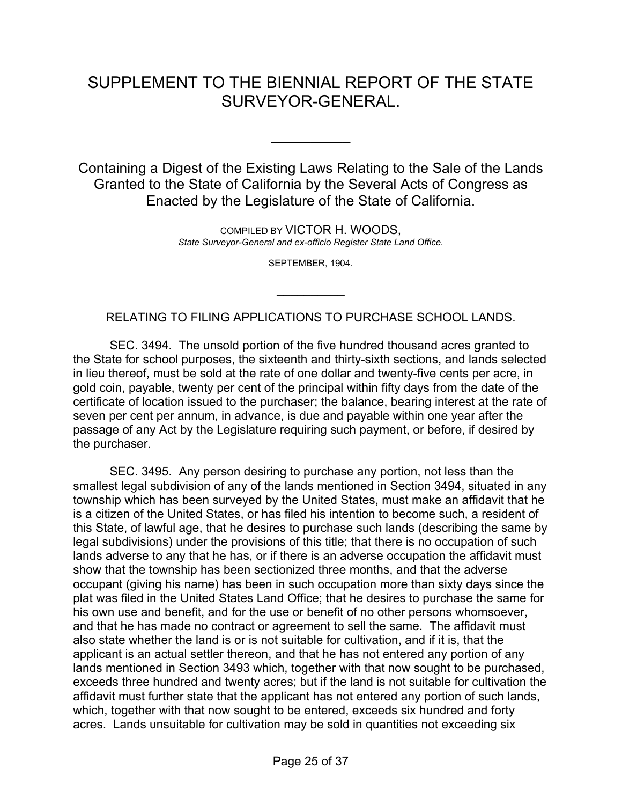## SUPPLEMENT TO THE BIENNIAL REPORT OF THE STATE SURVEYOR-GENERAL.

 $\frac{1}{2}$ 

Containing a Digest of the Existing Laws Relating to the Sale of the Lands Granted to the State of California by the Several Acts of Congress as Enacted by the Legislature of the State of California.

> COMPILED BY VICTOR H. WOODS, *State Surveyor-General and ex-officio Register State Land Office.*

> > SEPTEMBER, 1904.

RELATING TO FILING APPLICATIONS TO PURCHASE SCHOOL LANDS.

 $\frac{1}{2}$ 

 SEC. 3494. The unsold portion of the five hundred thousand acres granted to the State for school purposes, the sixteenth and thirty-sixth sections, and lands selected in lieu thereof, must be sold at the rate of one dollar and twenty-five cents per acre, in gold coin, payable, twenty per cent of the principal within fifty days from the date of the certificate of location issued to the purchaser; the balance, bearing interest at the rate of seven per cent per annum, in advance, is due and payable within one year after the passage of any Act by the Legislature requiring such payment, or before, if desired by the purchaser.

 SEC. 3495. Any person desiring to purchase any portion, not less than the smallest legal subdivision of any of the lands mentioned in Section 3494, situated in any township which has been surveyed by the United States, must make an affidavit that he is a citizen of the United States, or has filed his intention to become such, a resident of this State, of lawful age, that he desires to purchase such lands (describing the same by legal subdivisions) under the provisions of this title; that there is no occupation of such lands adverse to any that he has, or if there is an adverse occupation the affidavit must show that the township has been sectionized three months, and that the adverse occupant (giving his name) has been in such occupation more than sixty days since the plat was filed in the United States Land Office; that he desires to purchase the same for his own use and benefit, and for the use or benefit of no other persons whomsoever, and that he has made no contract or agreement to sell the same. The affidavit must also state whether the land is or is not suitable for cultivation, and if it is, that the applicant is an actual settler thereon, and that he has not entered any portion of any lands mentioned in Section 3493 which, together with that now sought to be purchased, exceeds three hundred and twenty acres; but if the land is not suitable for cultivation the affidavit must further state that the applicant has not entered any portion of such lands, which, together with that now sought to be entered, exceeds six hundred and forty acres. Lands unsuitable for cultivation may be sold in quantities not exceeding six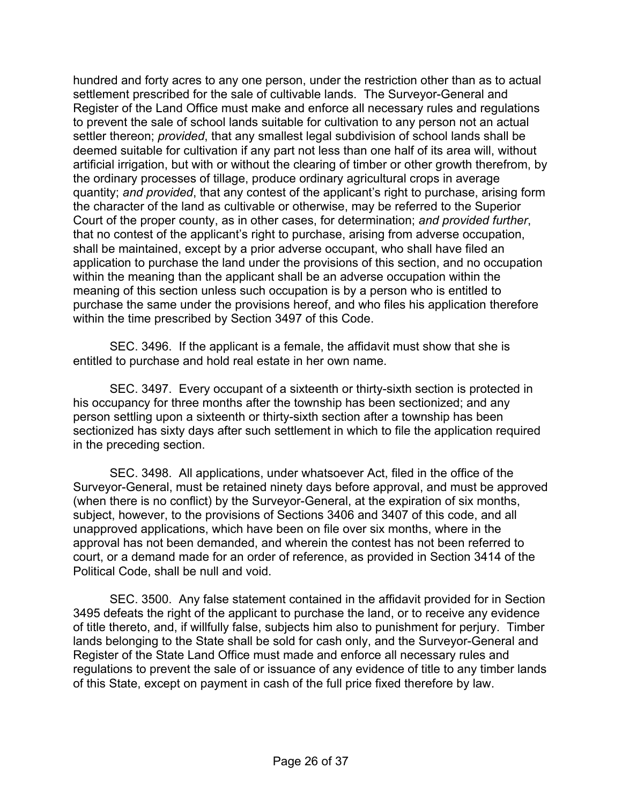hundred and forty acres to any one person, under the restriction other than as to actual settlement prescribed for the sale of cultivable lands. The Surveyor-General and Register of the Land Office must make and enforce all necessary rules and regulations to prevent the sale of school lands suitable for cultivation to any person not an actual settler thereon; *provided*, that any smallest legal subdivision of school lands shall be deemed suitable for cultivation if any part not less than one half of its area will, without artificial irrigation, but with or without the clearing of timber or other growth therefrom, by the ordinary processes of tillage, produce ordinary agricultural crops in average quantity; *and provided*, that any contest of the applicant's right to purchase, arising form the character of the land as cultivable or otherwise, may be referred to the Superior Court of the proper county, as in other cases, for determination; *and provided further*, that no contest of the applicant's right to purchase, arising from adverse occupation, shall be maintained, except by a prior adverse occupant, who shall have filed an application to purchase the land under the provisions of this section, and no occupation within the meaning than the applicant shall be an adverse occupation within the meaning of this section unless such occupation is by a person who is entitled to purchase the same under the provisions hereof, and who files his application therefore within the time prescribed by Section 3497 of this Code.

 SEC. 3496. If the applicant is a female, the affidavit must show that she is entitled to purchase and hold real estate in her own name.

 SEC. 3497. Every occupant of a sixteenth or thirty-sixth section is protected in his occupancy for three months after the township has been sectionized; and any person settling upon a sixteenth or thirty-sixth section after a township has been sectionized has sixty days after such settlement in which to file the application required in the preceding section.

 SEC. 3498. All applications, under whatsoever Act, filed in the office of the Surveyor-General, must be retained ninety days before approval, and must be approved (when there is no conflict) by the Surveyor-General, at the expiration of six months, subject, however, to the provisions of Sections 3406 and 3407 of this code, and all unapproved applications, which have been on file over six months, where in the approval has not been demanded, and wherein the contest has not been referred to court, or a demand made for an order of reference, as provided in Section 3414 of the Political Code, shall be null and void.

 SEC. 3500. Any false statement contained in the affidavit provided for in Section 3495 defeats the right of the applicant to purchase the land, or to receive any evidence of title thereto, and, if willfully false, subjects him also to punishment for perjury. Timber lands belonging to the State shall be sold for cash only, and the Surveyor-General and Register of the State Land Office must made and enforce all necessary rules and regulations to prevent the sale of or issuance of any evidence of title to any timber lands of this State, except on payment in cash of the full price fixed therefore by law.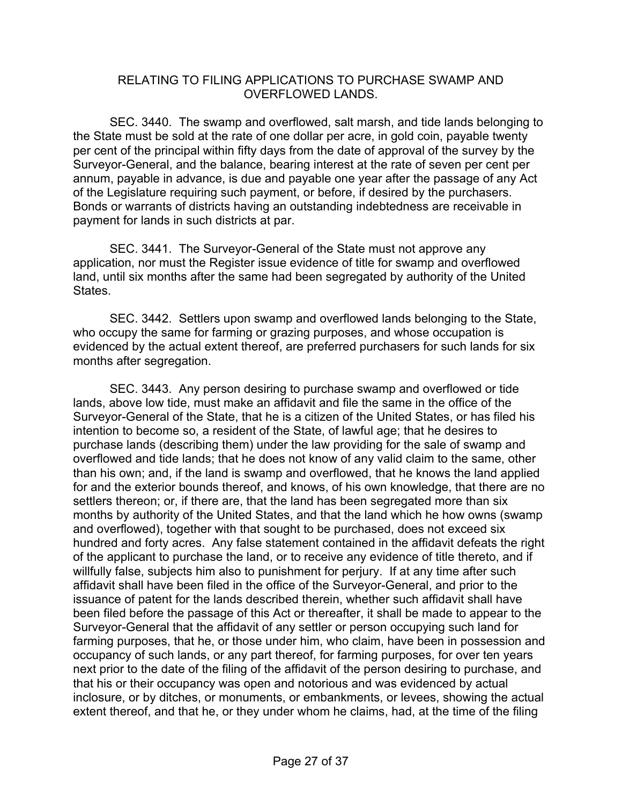#### RELATING TO FILING APPLICATIONS TO PURCHASE SWAMP AND OVERFLOWED LANDS.

 SEC. 3440. The swamp and overflowed, salt marsh, and tide lands belonging to the State must be sold at the rate of one dollar per acre, in gold coin, payable twenty per cent of the principal within fifty days from the date of approval of the survey by the Surveyor-General, and the balance, bearing interest at the rate of seven per cent per annum, payable in advance, is due and payable one year after the passage of any Act of the Legislature requiring such payment, or before, if desired by the purchasers. Bonds or warrants of districts having an outstanding indebtedness are receivable in payment for lands in such districts at par.

 SEC. 3441. The Surveyor-General of the State must not approve any application, nor must the Register issue evidence of title for swamp and overflowed land, until six months after the same had been segregated by authority of the United States.

 SEC. 3442. Settlers upon swamp and overflowed lands belonging to the State, who occupy the same for farming or grazing purposes, and whose occupation is evidenced by the actual extent thereof, are preferred purchasers for such lands for six months after segregation.

 SEC. 3443. Any person desiring to purchase swamp and overflowed or tide lands, above low tide, must make an affidavit and file the same in the office of the Surveyor-General of the State, that he is a citizen of the United States, or has filed his intention to become so, a resident of the State, of lawful age; that he desires to purchase lands (describing them) under the law providing for the sale of swamp and overflowed and tide lands; that he does not know of any valid claim to the same, other than his own; and, if the land is swamp and overflowed, that he knows the land applied for and the exterior bounds thereof, and knows, of his own knowledge, that there are no settlers thereon; or, if there are, that the land has been segregated more than six months by authority of the United States, and that the land which he how owns (swamp and overflowed), together with that sought to be purchased, does not exceed six hundred and forty acres. Any false statement contained in the affidavit defeats the right of the applicant to purchase the land, or to receive any evidence of title thereto, and if willfully false, subjects him also to punishment for perjury. If at any time after such affidavit shall have been filed in the office of the Surveyor-General, and prior to the issuance of patent for the lands described therein, whether such affidavit shall have been filed before the passage of this Act or thereafter, it shall be made to appear to the Surveyor-General that the affidavit of any settler or person occupying such land for farming purposes, that he, or those under him, who claim, have been in possession and occupancy of such lands, or any part thereof, for farming purposes, for over ten years next prior to the date of the filing of the affidavit of the person desiring to purchase, and that his or their occupancy was open and notorious and was evidenced by actual inclosure, or by ditches, or monuments, or embankments, or levees, showing the actual extent thereof, and that he, or they under whom he claims, had, at the time of the filing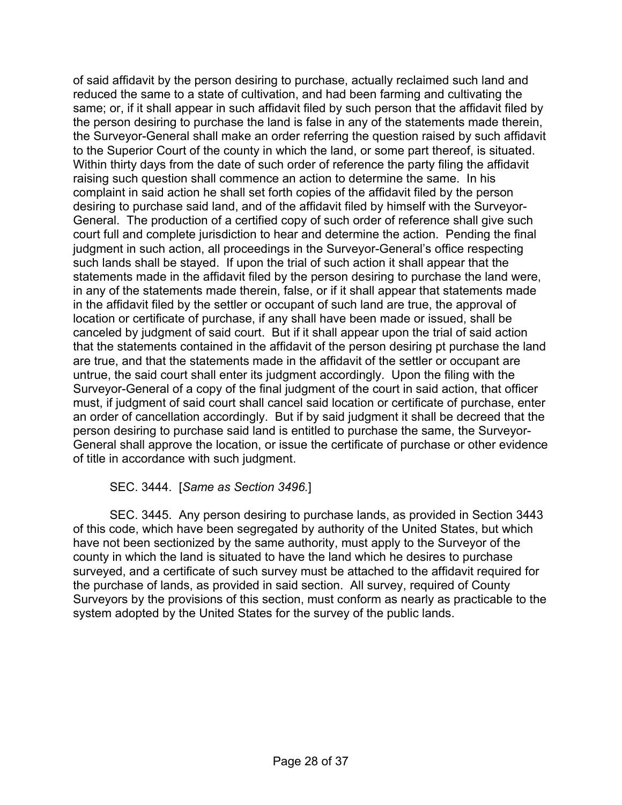of said affidavit by the person desiring to purchase, actually reclaimed such land and reduced the same to a state of cultivation, and had been farming and cultivating the same; or, if it shall appear in such affidavit filed by such person that the affidavit filed by the person desiring to purchase the land is false in any of the statements made therein, the Surveyor-General shall make an order referring the question raised by such affidavit to the Superior Court of the county in which the land, or some part thereof, is situated. Within thirty days from the date of such order of reference the party filing the affidavit raising such question shall commence an action to determine the same. In his complaint in said action he shall set forth copies of the affidavit filed by the person desiring to purchase said land, and of the affidavit filed by himself with the Surveyor-General. The production of a certified copy of such order of reference shall give such court full and complete jurisdiction to hear and determine the action. Pending the final judgment in such action, all proceedings in the Surveyor-General's office respecting such lands shall be stayed. If upon the trial of such action it shall appear that the statements made in the affidavit filed by the person desiring to purchase the land were, in any of the statements made therein, false, or if it shall appear that statements made in the affidavit filed by the settler or occupant of such land are true, the approval of location or certificate of purchase, if any shall have been made or issued, shall be canceled by judgment of said court. But if it shall appear upon the trial of said action that the statements contained in the affidavit of the person desiring pt purchase the land are true, and that the statements made in the affidavit of the settler or occupant are untrue, the said court shall enter its judgment accordingly. Upon the filing with the Surveyor-General of a copy of the final judgment of the court in said action, that officer must, if judgment of said court shall cancel said location or certificate of purchase, enter an order of cancellation accordingly. But if by said judgment it shall be decreed that the person desiring to purchase said land is entitled to purchase the same, the Surveyor-General shall approve the location, or issue the certificate of purchase or other evidence of title in accordance with such judgment.

#### SEC. 3444. [*Same as Section 3496.*]

 SEC. 3445. Any person desiring to purchase lands, as provided in Section 3443 of this code, which have been segregated by authority of the United States, but which have not been sectionized by the same authority, must apply to the Surveyor of the county in which the land is situated to have the land which he desires to purchase surveyed, and a certificate of such survey must be attached to the affidavit required for the purchase of lands, as provided in said section. All survey, required of County Surveyors by the provisions of this section, must conform as nearly as practicable to the system adopted by the United States for the survey of the public lands.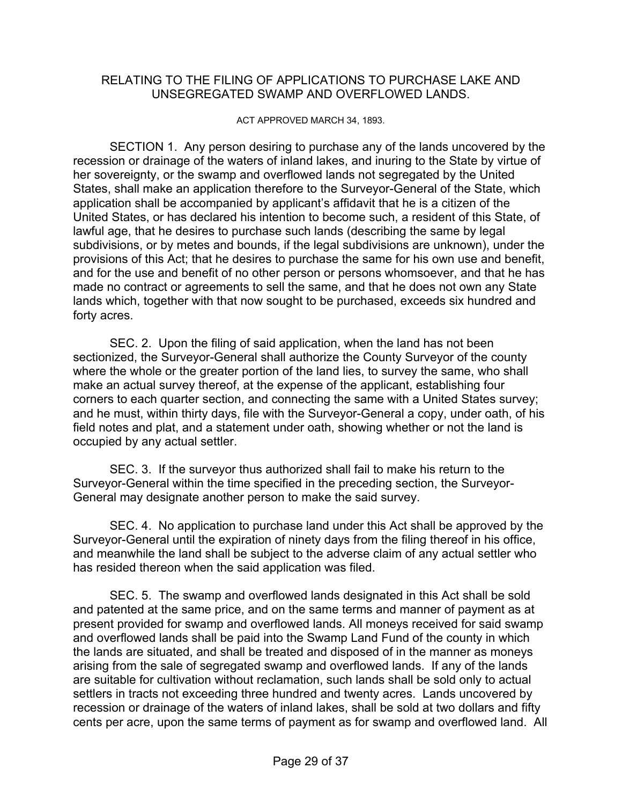#### RELATING TO THE FILING OF APPLICATIONS TO PURCHASE LAKE AND UNSEGREGATED SWAMP AND OVERFLOWED LANDS.

ACT APPROVED MARCH 34, 1893.

 SECTION 1. Any person desiring to purchase any of the lands uncovered by the recession or drainage of the waters of inland lakes, and inuring to the State by virtue of her sovereignty, or the swamp and overflowed lands not segregated by the United States, shall make an application therefore to the Surveyor-General of the State, which application shall be accompanied by applicant's affidavit that he is a citizen of the United States, or has declared his intention to become such, a resident of this State, of lawful age, that he desires to purchase such lands (describing the same by legal subdivisions, or by metes and bounds, if the legal subdivisions are unknown), under the provisions of this Act; that he desires to purchase the same for his own use and benefit, and for the use and benefit of no other person or persons whomsoever, and that he has made no contract or agreements to sell the same, and that he does not own any State lands which, together with that now sought to be purchased, exceeds six hundred and forty acres.

 SEC. 2. Upon the filing of said application, when the land has not been sectionized, the Surveyor-General shall authorize the County Surveyor of the county where the whole or the greater portion of the land lies, to survey the same, who shall make an actual survey thereof, at the expense of the applicant, establishing four corners to each quarter section, and connecting the same with a United States survey; and he must, within thirty days, file with the Surveyor-General a copy, under oath, of his field notes and plat, and a statement under oath, showing whether or not the land is occupied by any actual settler.

 SEC. 3. If the surveyor thus authorized shall fail to make his return to the Surveyor-General within the time specified in the preceding section, the Surveyor-General may designate another person to make the said survey.

 SEC. 4. No application to purchase land under this Act shall be approved by the Surveyor-General until the expiration of ninety days from the filing thereof in his office, and meanwhile the land shall be subject to the adverse claim of any actual settler who has resided thereon when the said application was filed.

 SEC. 5. The swamp and overflowed lands designated in this Act shall be sold and patented at the same price, and on the same terms and manner of payment as at present provided for swamp and overflowed lands. All moneys received for said swamp and overflowed lands shall be paid into the Swamp Land Fund of the county in which the lands are situated, and shall be treated and disposed of in the manner as moneys arising from the sale of segregated swamp and overflowed lands. If any of the lands are suitable for cultivation without reclamation, such lands shall be sold only to actual settlers in tracts not exceeding three hundred and twenty acres. Lands uncovered by recession or drainage of the waters of inland lakes, shall be sold at two dollars and fifty cents per acre, upon the same terms of payment as for swamp and overflowed land. All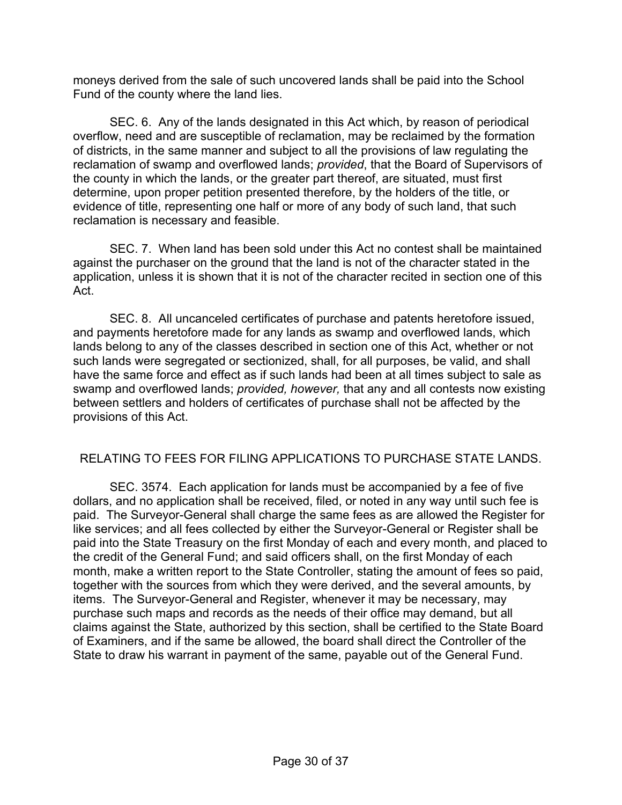moneys derived from the sale of such uncovered lands shall be paid into the School Fund of the county where the land lies.

 SEC. 6. Any of the lands designated in this Act which, by reason of periodical overflow, need and are susceptible of reclamation, may be reclaimed by the formation of districts, in the same manner and subject to all the provisions of law regulating the reclamation of swamp and overflowed lands; *provided*, that the Board of Supervisors of the county in which the lands, or the greater part thereof, are situated, must first determine, upon proper petition presented therefore, by the holders of the title, or evidence of title, representing one half or more of any body of such land, that such reclamation is necessary and feasible.

 SEC. 7. When land has been sold under this Act no contest shall be maintained against the purchaser on the ground that the land is not of the character stated in the application, unless it is shown that it is not of the character recited in section one of this Act.

 SEC. 8. All uncanceled certificates of purchase and patents heretofore issued, and payments heretofore made for any lands as swamp and overflowed lands, which lands belong to any of the classes described in section one of this Act, whether or not such lands were segregated or sectionized, shall, for all purposes, be valid, and shall have the same force and effect as if such lands had been at all times subject to sale as swamp and overflowed lands; *provided, however,* that any and all contests now existing between settlers and holders of certificates of purchase shall not be affected by the provisions of this Act.

#### RELATING TO FEES FOR FILING APPLICATIONS TO PURCHASE STATE LANDS.

 SEC. 3574. Each application for lands must be accompanied by a fee of five dollars, and no application shall be received, filed, or noted in any way until such fee is paid. The Surveyor-General shall charge the same fees as are allowed the Register for like services; and all fees collected by either the Surveyor-General or Register shall be paid into the State Treasury on the first Monday of each and every month, and placed to the credit of the General Fund; and said officers shall, on the first Monday of each month, make a written report to the State Controller, stating the amount of fees so paid, together with the sources from which they were derived, and the several amounts, by items. The Surveyor-General and Register, whenever it may be necessary, may purchase such maps and records as the needs of their office may demand, but all claims against the State, authorized by this section, shall be certified to the State Board of Examiners, and if the same be allowed, the board shall direct the Controller of the State to draw his warrant in payment of the same, payable out of the General Fund.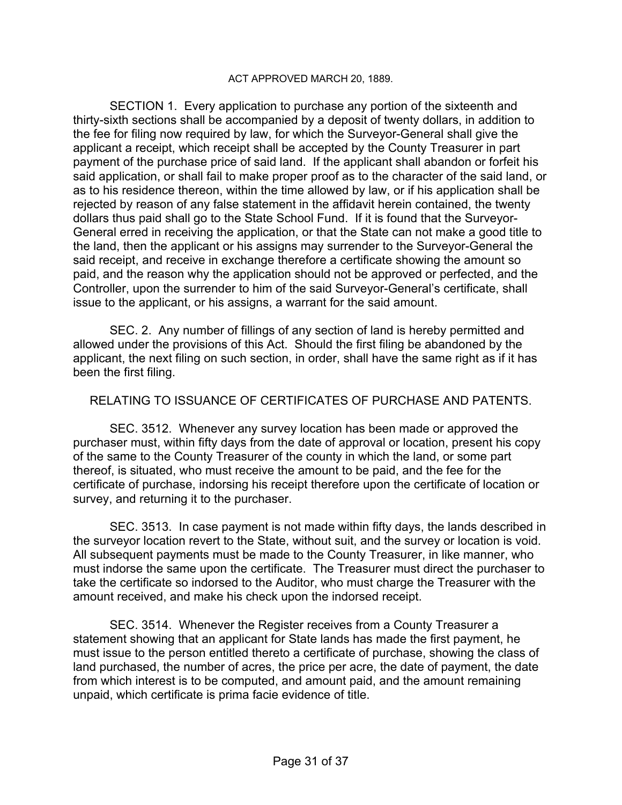#### ACT APPROVED MARCH 20, 1889.

 SECTION 1. Every application to purchase any portion of the sixteenth and thirty-sixth sections shall be accompanied by a deposit of twenty dollars, in addition to the fee for filing now required by law, for which the Surveyor-General shall give the applicant a receipt, which receipt shall be accepted by the County Treasurer in part payment of the purchase price of said land. If the applicant shall abandon or forfeit his said application, or shall fail to make proper proof as to the character of the said land, or as to his residence thereon, within the time allowed by law, or if his application shall be rejected by reason of any false statement in the affidavit herein contained, the twenty dollars thus paid shall go to the State School Fund. If it is found that the Surveyor-General erred in receiving the application, or that the State can not make a good title to the land, then the applicant or his assigns may surrender to the Surveyor-General the said receipt, and receive in exchange therefore a certificate showing the amount so paid, and the reason why the application should not be approved or perfected, and the Controller, upon the surrender to him of the said Surveyor-General's certificate, shall issue to the applicant, or his assigns, a warrant for the said amount.

 SEC. 2. Any number of fillings of any section of land is hereby permitted and allowed under the provisions of this Act. Should the first filing be abandoned by the applicant, the next filing on such section, in order, shall have the same right as if it has been the first filing.

#### RELATING TO ISSUANCE OF CERTIFICATES OF PURCHASE AND PATENTS.

 SEC. 3512. Whenever any survey location has been made or approved the purchaser must, within fifty days from the date of approval or location, present his copy of the same to the County Treasurer of the county in which the land, or some part thereof, is situated, who must receive the amount to be paid, and the fee for the certificate of purchase, indorsing his receipt therefore upon the certificate of location or survey, and returning it to the purchaser.

 SEC. 3513. In case payment is not made within fifty days, the lands described in the surveyor location revert to the State, without suit, and the survey or location is void. All subsequent payments must be made to the County Treasurer, in like manner, who must indorse the same upon the certificate. The Treasurer must direct the purchaser to take the certificate so indorsed to the Auditor, who must charge the Treasurer with the amount received, and make his check upon the indorsed receipt.

 SEC. 3514. Whenever the Register receives from a County Treasurer a statement showing that an applicant for State lands has made the first payment, he must issue to the person entitled thereto a certificate of purchase, showing the class of land purchased, the number of acres, the price per acre, the date of payment, the date from which interest is to be computed, and amount paid, and the amount remaining unpaid, which certificate is prima facie evidence of title.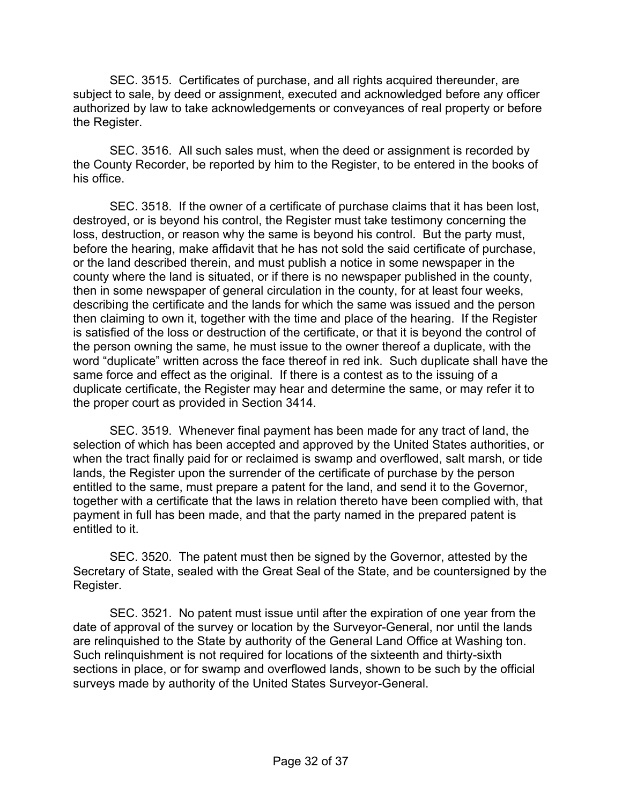SEC. 3515. Certificates of purchase, and all rights acquired thereunder, are subject to sale, by deed or assignment, executed and acknowledged before any officer authorized by law to take acknowledgements or conveyances of real property or before the Register.

 SEC. 3516. All such sales must, when the deed or assignment is recorded by the County Recorder, be reported by him to the Register, to be entered in the books of his office.

 SEC. 3518. If the owner of a certificate of purchase claims that it has been lost, destroyed, or is beyond his control, the Register must take testimony concerning the loss, destruction, or reason why the same is beyond his control. But the party must, before the hearing, make affidavit that he has not sold the said certificate of purchase, or the land described therein, and must publish a notice in some newspaper in the county where the land is situated, or if there is no newspaper published in the county, then in some newspaper of general circulation in the county, for at least four weeks, describing the certificate and the lands for which the same was issued and the person then claiming to own it, together with the time and place of the hearing. If the Register is satisfied of the loss or destruction of the certificate, or that it is beyond the control of the person owning the same, he must issue to the owner thereof a duplicate, with the word "duplicate" written across the face thereof in red ink. Such duplicate shall have the same force and effect as the original. If there is a contest as to the issuing of a duplicate certificate, the Register may hear and determine the same, or may refer it to the proper court as provided in Section 3414.

 SEC. 3519. Whenever final payment has been made for any tract of land, the selection of which has been accepted and approved by the United States authorities, or when the tract finally paid for or reclaimed is swamp and overflowed, salt marsh, or tide lands, the Register upon the surrender of the certificate of purchase by the person entitled to the same, must prepare a patent for the land, and send it to the Governor, together with a certificate that the laws in relation thereto have been complied with, that payment in full has been made, and that the party named in the prepared patent is entitled to it.

 SEC. 3520. The patent must then be signed by the Governor, attested by the Secretary of State, sealed with the Great Seal of the State, and be countersigned by the Register.

 SEC. 3521. No patent must issue until after the expiration of one year from the date of approval of the survey or location by the Surveyor-General, nor until the lands are relinquished to the State by authority of the General Land Office at Washing ton. Such relinquishment is not required for locations of the sixteenth and thirty-sixth sections in place, or for swamp and overflowed lands, shown to be such by the official surveys made by authority of the United States Surveyor-General.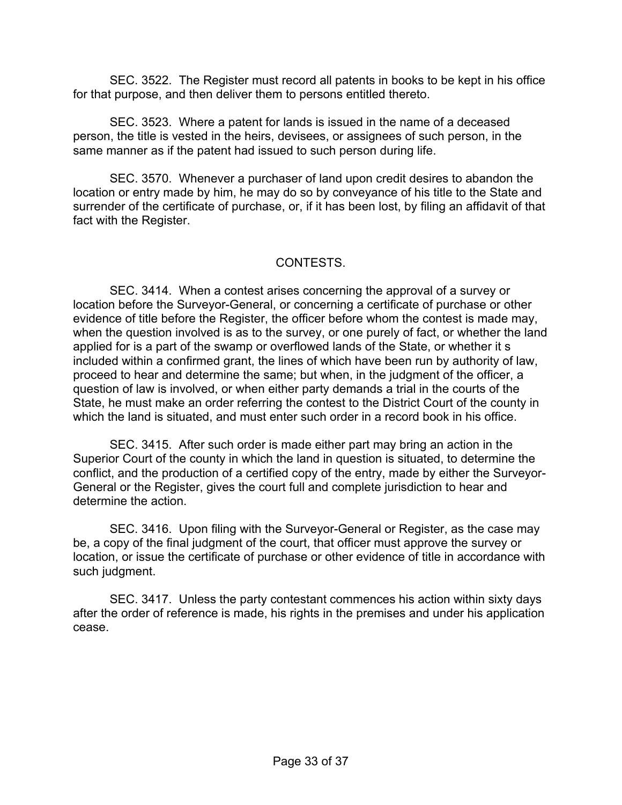SEC. 3522. The Register must record all patents in books to be kept in his office for that purpose, and then deliver them to persons entitled thereto.

 SEC. 3523. Where a patent for lands is issued in the name of a deceased person, the title is vested in the heirs, devisees, or assignees of such person, in the same manner as if the patent had issued to such person during life.

 SEC. 3570. Whenever a purchaser of land upon credit desires to abandon the location or entry made by him, he may do so by conveyance of his title to the State and surrender of the certificate of purchase, or, if it has been lost, by filing an affidavit of that fact with the Register.

#### CONTESTS.

 SEC. 3414. When a contest arises concerning the approval of a survey or location before the Surveyor-General, or concerning a certificate of purchase or other evidence of title before the Register, the officer before whom the contest is made may, when the question involved is as to the survey, or one purely of fact, or whether the land applied for is a part of the swamp or overflowed lands of the State, or whether it s included within a confirmed grant, the lines of which have been run by authority of law, proceed to hear and determine the same; but when, in the judgment of the officer, a question of law is involved, or when either party demands a trial in the courts of the State, he must make an order referring the contest to the District Court of the county in which the land is situated, and must enter such order in a record book in his office.

 SEC. 3415. After such order is made either part may bring an action in the Superior Court of the county in which the land in question is situated, to determine the conflict, and the production of a certified copy of the entry, made by either the Surveyor-General or the Register, gives the court full and complete jurisdiction to hear and determine the action.

 SEC. 3416. Upon filing with the Surveyor-General or Register, as the case may be, a copy of the final judgment of the court, that officer must approve the survey or location, or issue the certificate of purchase or other evidence of title in accordance with such judgment.

 SEC. 3417. Unless the party contestant commences his action within sixty days after the order of reference is made, his rights in the premises and under his application cease.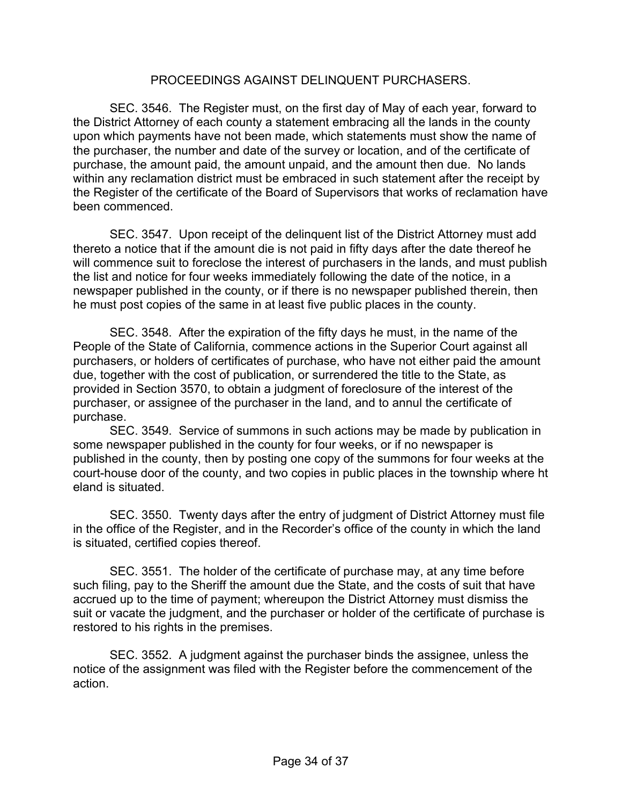#### PROCEEDINGS AGAINST DELINQUENT PURCHASERS.

 SEC. 3546. The Register must, on the first day of May of each year, forward to the District Attorney of each county a statement embracing all the lands in the county upon which payments have not been made, which statements must show the name of the purchaser, the number and date of the survey or location, and of the certificate of purchase, the amount paid, the amount unpaid, and the amount then due. No lands within any reclamation district must be embraced in such statement after the receipt by the Register of the certificate of the Board of Supervisors that works of reclamation have been commenced.

 SEC. 3547. Upon receipt of the delinquent list of the District Attorney must add thereto a notice that if the amount die is not paid in fifty days after the date thereof he will commence suit to foreclose the interest of purchasers in the lands, and must publish the list and notice for four weeks immediately following the date of the notice, in a newspaper published in the county, or if there is no newspaper published therein, then he must post copies of the same in at least five public places in the county.

 SEC. 3548. After the expiration of the fifty days he must, in the name of the People of the State of California, commence actions in the Superior Court against all purchasers, or holders of certificates of purchase, who have not either paid the amount due, together with the cost of publication, or surrendered the title to the State, as provided in Section 3570, to obtain a judgment of foreclosure of the interest of the purchaser, or assignee of the purchaser in the land, and to annul the certificate of purchase.

 SEC. 3549. Service of summons in such actions may be made by publication in some newspaper published in the county for four weeks, or if no newspaper is published in the county, then by posting one copy of the summons for four weeks at the court-house door of the county, and two copies in public places in the township where ht eland is situated.

 SEC. 3550. Twenty days after the entry of judgment of District Attorney must file in the office of the Register, and in the Recorder's office of the county in which the land is situated, certified copies thereof.

 SEC. 3551. The holder of the certificate of purchase may, at any time before such filing, pay to the Sheriff the amount due the State, and the costs of suit that have accrued up to the time of payment; whereupon the District Attorney must dismiss the suit or vacate the judgment, and the purchaser or holder of the certificate of purchase is restored to his rights in the premises.

 SEC. 3552. A judgment against the purchaser binds the assignee, unless the notice of the assignment was filed with the Register before the commencement of the action.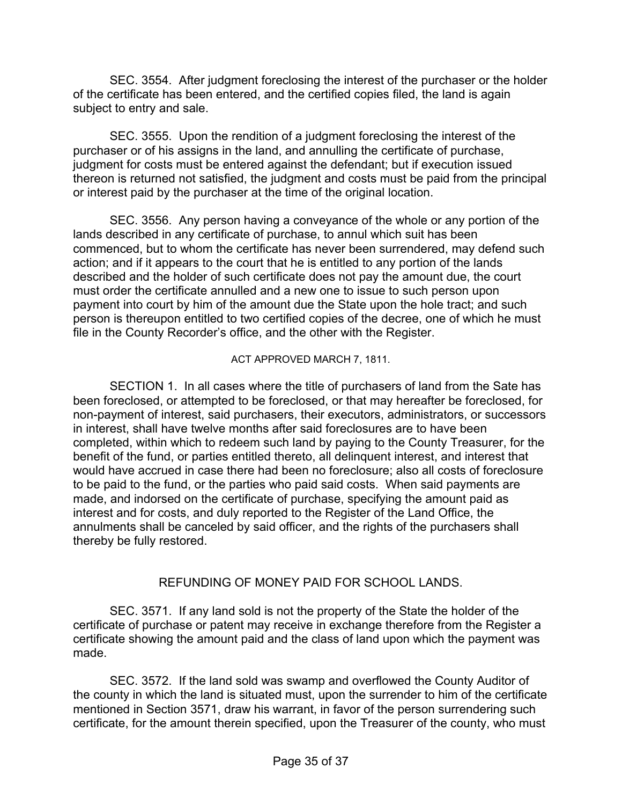SEC. 3554. After judgment foreclosing the interest of the purchaser or the holder of the certificate has been entered, and the certified copies filed, the land is again subject to entry and sale.

 SEC. 3555. Upon the rendition of a judgment foreclosing the interest of the purchaser or of his assigns in the land, and annulling the certificate of purchase, judgment for costs must be entered against the defendant; but if execution issued thereon is returned not satisfied, the judgment and costs must be paid from the principal or interest paid by the purchaser at the time of the original location.

 SEC. 3556. Any person having a conveyance of the whole or any portion of the lands described in any certificate of purchase, to annul which suit has been commenced, but to whom the certificate has never been surrendered, may defend such action; and if it appears to the court that he is entitled to any portion of the lands described and the holder of such certificate does not pay the amount due, the court must order the certificate annulled and a new one to issue to such person upon payment into court by him of the amount due the State upon the hole tract; and such person is thereupon entitled to two certified copies of the decree, one of which he must file in the County Recorder's office, and the other with the Register.

ACT APPROVED MARCH 7, 1811.

 SECTION 1. In all cases where the title of purchasers of land from the Sate has been foreclosed, or attempted to be foreclosed, or that may hereafter be foreclosed, for non-payment of interest, said purchasers, their executors, administrators, or successors in interest, shall have twelve months after said foreclosures are to have been completed, within which to redeem such land by paying to the County Treasurer, for the benefit of the fund, or parties entitled thereto, all delinquent interest, and interest that would have accrued in case there had been no foreclosure; also all costs of foreclosure to be paid to the fund, or the parties who paid said costs. When said payments are made, and indorsed on the certificate of purchase, specifying the amount paid as interest and for costs, and duly reported to the Register of the Land Office, the annulments shall be canceled by said officer, and the rights of the purchasers shall thereby be fully restored.

#### REFUNDING OF MONEY PAID FOR SCHOOL LANDS.

 SEC. 3571. If any land sold is not the property of the State the holder of the certificate of purchase or patent may receive in exchange therefore from the Register a certificate showing the amount paid and the class of land upon which the payment was made.

 SEC. 3572. If the land sold was swamp and overflowed the County Auditor of the county in which the land is situated must, upon the surrender to him of the certificate mentioned in Section 3571, draw his warrant, in favor of the person surrendering such certificate, for the amount therein specified, upon the Treasurer of the county, who must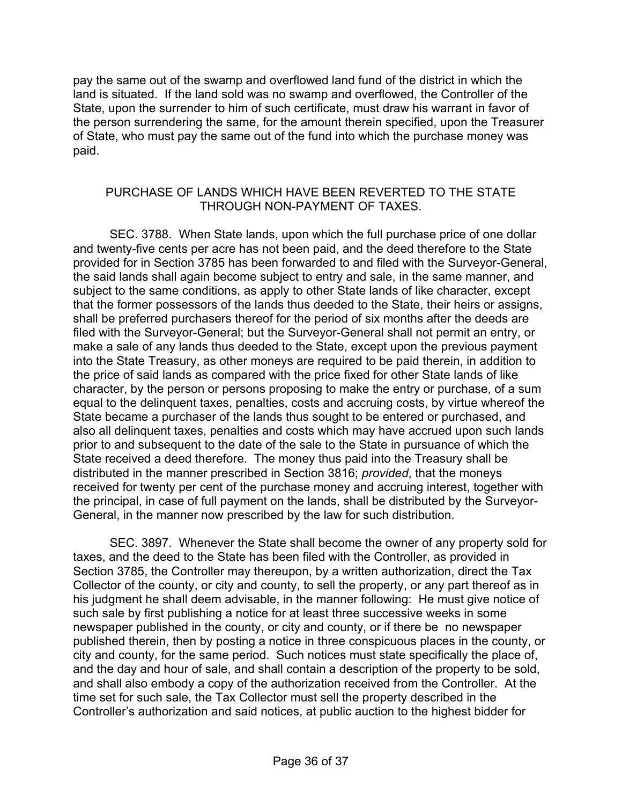pay the same out of the swamp and overflowed land fund of the district in which the land is situated. If the land sold was no swamp and overflowed, the Controller of the State, upon the surrender to him of such certificate, must draw his warrant in favor of the person surrendering the same, for the amount therein specified, upon the Treasurer of State, who must pay the same out of the fund into which the purchase money was paid.

#### PURCHASE OF LANDS WHICH HAVE BEEN REVERTED TO THE STATE THROUGH NON-PAYMENT OF TAXES.

 SEC. 3788. When State lands, upon which the full purchase price of one dollar and twenty-five cents per acre has not been paid, and the deed therefore to the State provided for in Section 3785 has been forwarded to and filed with the Surveyor-General, the said lands shall again become subject to entry and sale, in the same manner, and subject to the same conditions, as apply to other State lands of like character, except that the former possessors of the lands thus deeded to the State, their heirs or assigns, shall be preferred purchasers thereof for the period of six months after the deeds are filed with the Surveyor-General; but the Surveyor-General shall not permit an entry, or make a sale of any lands thus deeded to the State, except upon the previous payment into the State Treasury, as other moneys are required to be paid therein, in addition to the price of said lands as compared with the price fixed for other State lands of like character, by the person or persons proposing to make the entry or purchase, of a sum equal to the delinquent taxes, penalties, costs and accruing costs, by virtue whereof the State became a purchaser of the lands thus sought to be entered or purchased, and also all delinquent taxes, penalties and costs which may have accrued upon such lands prior to and subsequent to the date of the sale to the State in pursuance of which the State received a deed therefore. The money thus paid into the Treasury shall be distributed in the manner prescribed in Section 3816; *provided*, that the moneys received for twenty per cent of the purchase money and accruing interest, together with the principal, in case of full payment on the lands, shall be distributed by the Surveyor-General, in the manner now prescribed by the law for such distribution.

 SEC. 3897. Whenever the State shall become the owner of any property sold for taxes, and the deed to the State has been filed with the Controller, as provided in Section 3785, the Controller may thereupon, by a written authorization, direct the Tax Collector of the county, or city and county, to sell the property, or any part thereof as in his judgment he shall deem advisable, in the manner following: He must give notice of such sale by first publishing a notice for at least three successive weeks in some newspaper published in the county, or city and county, or if there be no newspaper published therein, then by posting a notice in three conspicuous places in the county, or city and county, for the same period. Such notices must state specifically the place of, and the day and hour of sale, and shall contain a description of the property to be sold, and shall also embody a copy of the authorization received from the Controller. At the time set for such sale, the Tax Collector must sell the property described in the Controller's authorization and said notices, at public auction to the highest bidder for